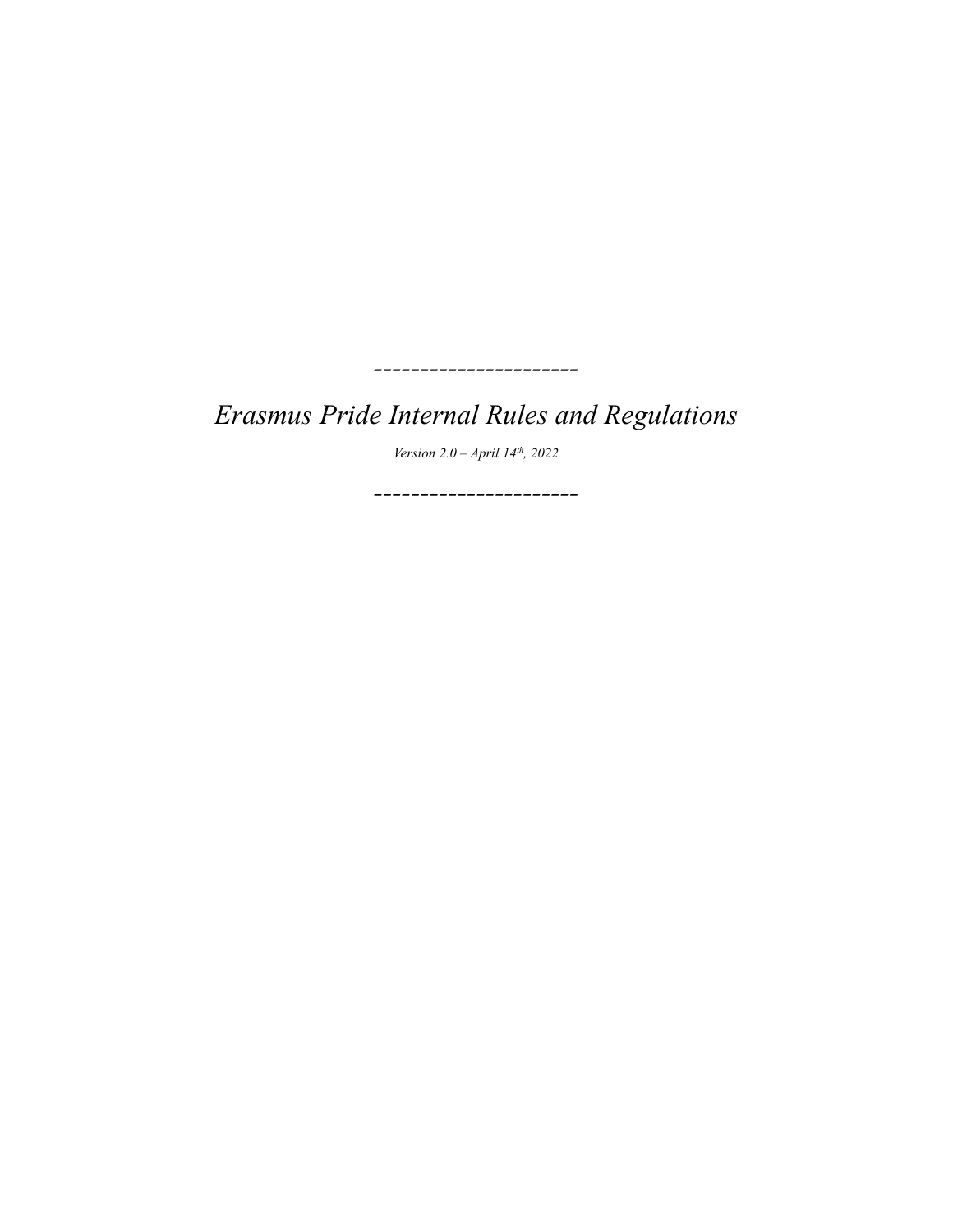*Erasmus Pride Internal Rules and Regulations*

*----------------------*

*Version 2.0 – April 14th , 2022*

*----------------------*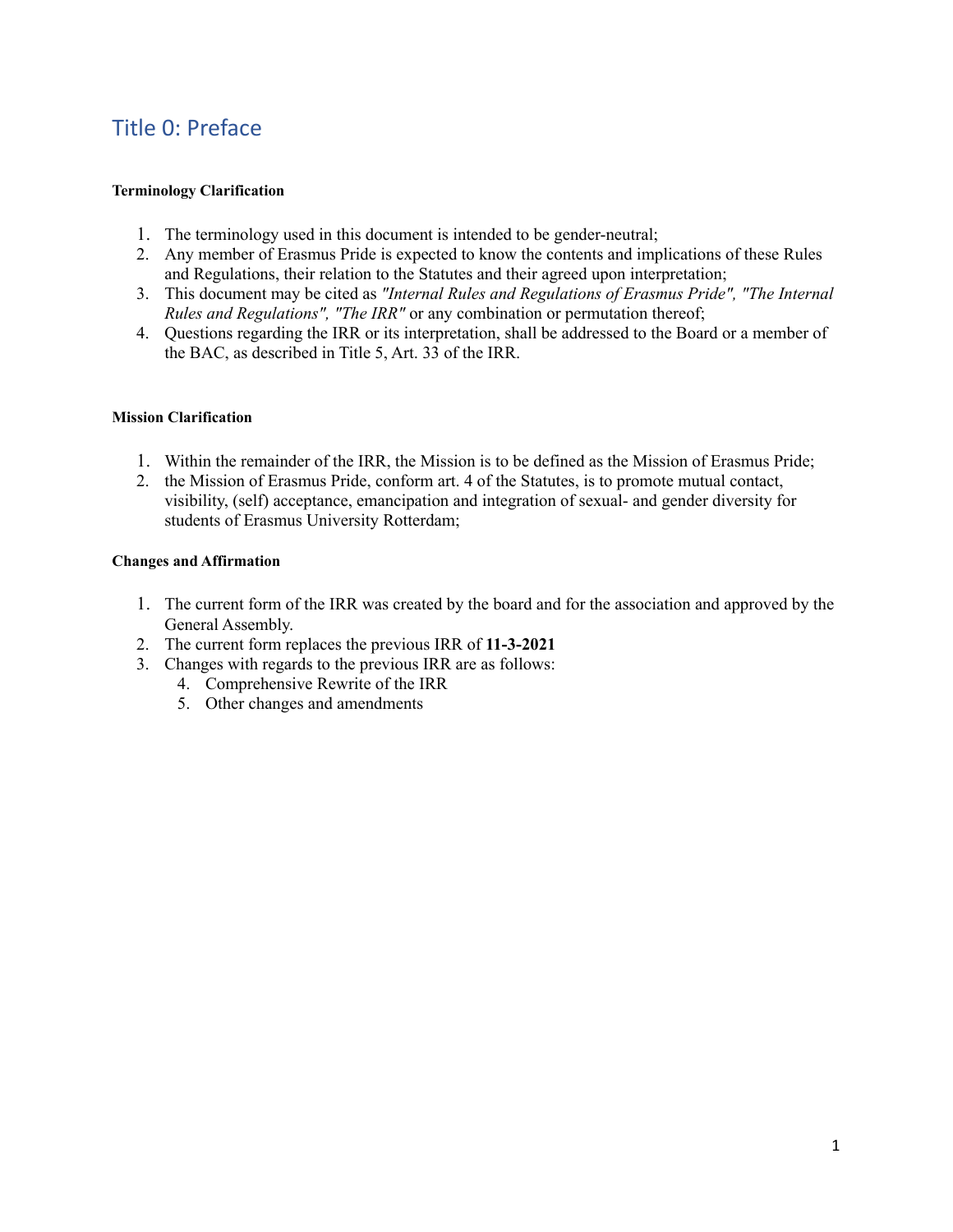# Title 0: Preface

#### **Terminology Clarification**

- 1. The terminology used in this document is intended to be gender-neutral;
- 2. Any member of Erasmus Pride is expected to know the contents and implications of these Rules and Regulations, their relation to the Statutes and their agreed upon interpretation;
- 3. This document may be cited as *"Internal Rules and Regulations of Erasmus Pride", "The Internal Rules and Regulations", "The IRR"* or any combination or permutation thereof;
- 4. Questions regarding the IRR or its interpretation, shall be addressed to the Board or a member of the BAC, as described in Title 5, Art. 33 of the IRR.

#### **Mission Clarification**

- 1. Within the remainder of the IRR, the Mission is to be defined as the Mission of Erasmus Pride;
- 2. the Mission of Erasmus Pride, conform art. 4 of the Statutes, is to promote mutual contact, visibility, (self) acceptance, emancipation and integration of sexual- and gender diversity for students of Erasmus University Rotterdam;

#### **Changes and Affirmation**

- 1. The current form of the IRR was created by the board and for the association and approved by the General Assembly.
- 2. The current form replaces the previous IRR of **11-3-2021**
- 3. Changes with regards to the previous IRR are as follows:
	- 4. Comprehensive Rewrite of the IRR
	- 5. Other changes and amendments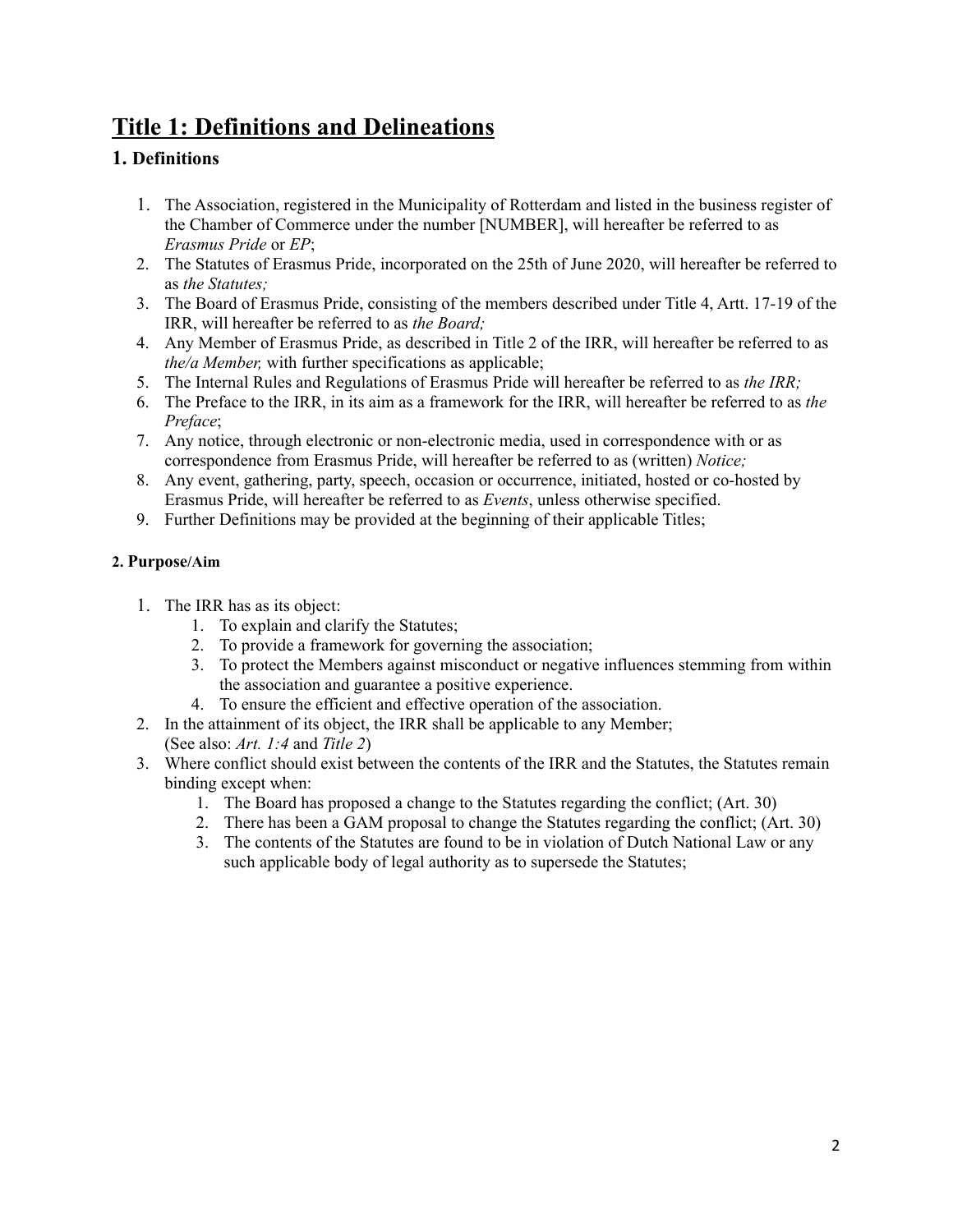# **Title 1: Definitions and Delineations**

# **1. Definitions**

- 1. The Association, registered in the Municipality of Rotterdam and listed in the business register of the Chamber of Commerce under the number [NUMBER], will hereafter be referred to as *Erasmus Pride* or *EP*;
- 2. The Statutes of Erasmus Pride, incorporated on the 25th of June 2020, will hereafter be referred to as *the Statutes;*
- 3. The Board of Erasmus Pride, consisting of the members described under Title 4, Artt. 17-19 of the IRR, will hereafter be referred to as *the Board;*
- 4. Any Member of Erasmus Pride, as described in Title 2 of the IRR, will hereafter be referred to as *the/a Member,* with further specifications as applicable;
- 5. The Internal Rules and Regulations of Erasmus Pride will hereafter be referred to as *the IRR;*
- 6. The Preface to the IRR, in its aim as a framework for the IRR, will hereafter be referred to as *the Preface*;
- 7. Any notice, through electronic or non-electronic media, used in correspondence with or as correspondence from Erasmus Pride, will hereafter be referred to as (written) *Notice;*
- 8. Any event, gathering, party, speech, occasion or occurrence, initiated, hosted or co-hosted by Erasmus Pride, will hereafter be referred to as *Events*, unless otherwise specified.
- 9. Further Definitions may be provided at the beginning of their applicable Titles;

#### **2. Purpose/Aim**

- 1. The IRR has as its object:
	- 1. To explain and clarify the Statutes;
	- 2. To provide a framework for governing the association;
	- 3. To protect the Members against misconduct or negative influences stemming from within the association and guarantee a positive experience.
	- 4. To ensure the efficient and effective operation of the association.
- 2. In the attainment of its object, the IRR shall be applicable to any Member; (See also: *Art. 1:4* and *Title 2*)
- 3. Where conflict should exist between the contents of the IRR and the Statutes, the Statutes remain binding except when:
	- 1. The Board has proposed a change to the Statutes regarding the conflict; (Art. 30)
	- 2. There has been a GAM proposal to change the Statutes regarding the conflict; (Art. 30)
	- 3. The contents of the Statutes are found to be in violation of Dutch National Law or any such applicable body of legal authority as to supersede the Statutes;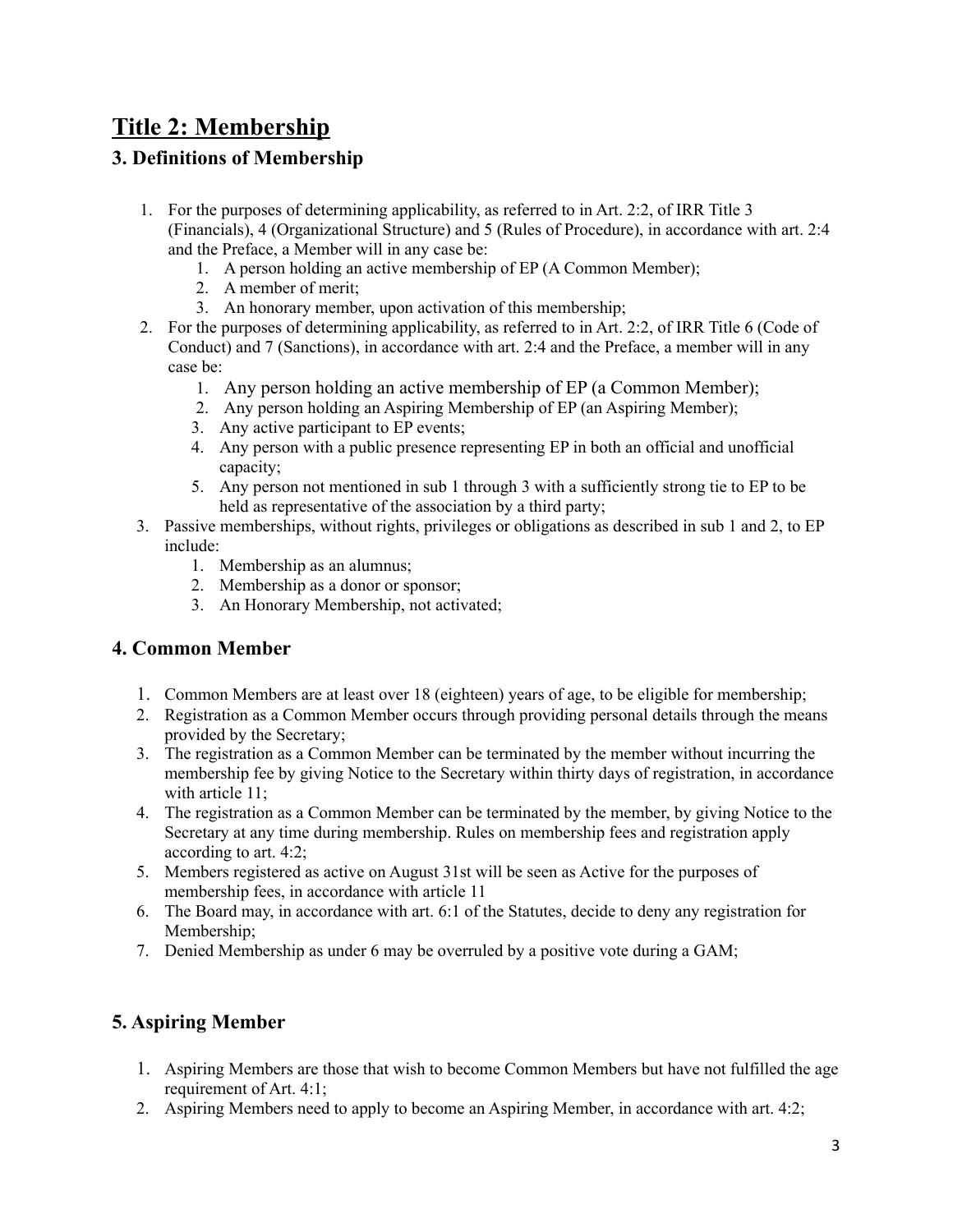# **Title 2: Membership**

# **3. Definitions of Membership**

- 1. For the purposes of determining applicability, as referred to in Art. 2:2, of IRR Title 3 (Financials), 4 (Organizational Structure) and 5 (Rules of Procedure), in accordance with art. 2:4 and the Preface, a Member will in any case be:
	- 1. A person holding an active membership of EP (A Common Member);
	- 2. A member of merit;
	- 3. An honorary member, upon activation of this membership;
- 2. For the purposes of determining applicability, as referred to in Art. 2:2, of IRR Title 6 (Code of Conduct) and 7 (Sanctions), in accordance with art. 2:4 and the Preface, a member will in any case be:
	- 1. Any person holding an active membership of EP (a Common Member);
	- 2. Any person holding an Aspiring Membership of EP (an Aspiring Member);
	- 3. Any active participant to EP events;
	- 4. Any person with a public presence representing EP in both an official and unofficial capacity;
	- 5. Any person not mentioned in sub 1 through 3 with a sufficiently strong tie to EP to be held as representative of the association by a third party;
- 3. Passive memberships, without rights, privileges or obligations as described in sub 1 and 2, to EP include:
	- 1. Membership as an alumnus;
	- 2. Membership as a donor or sponsor;
	- 3. An Honorary Membership, not activated;

## **4. Common Member**

- 1. Common Members are at least over 18 (eighteen) years of age, to be eligible for membership;
- 2. Registration as a Common Member occurs through providing personal details through the means provided by the Secretary;
- 3. The registration as a Common Member can be terminated by the member without incurring the membership fee by giving Notice to the Secretary within thirty days of registration, in accordance with article 11;
- 4. The registration as a Common Member can be terminated by the member, by giving Notice to the Secretary at any time during membership. Rules on membership fees and registration apply according to art. 4:2;
- 5. Members registered as active on August 31st will be seen as Active for the purposes of membership fees, in accordance with article 11
- 6. The Board may, in accordance with art. 6:1 of the Statutes, decide to deny any registration for Membership;
- 7. Denied Membership as under 6 may be overruled by a positive vote during a GAM;

# **5. Aspiring Member**

- 1. Aspiring Members are those that wish to become Common Members but have not fulfilled the age requirement of Art. 4:1;
- 2. Aspiring Members need to apply to become an Aspiring Member, in accordance with art. 4:2;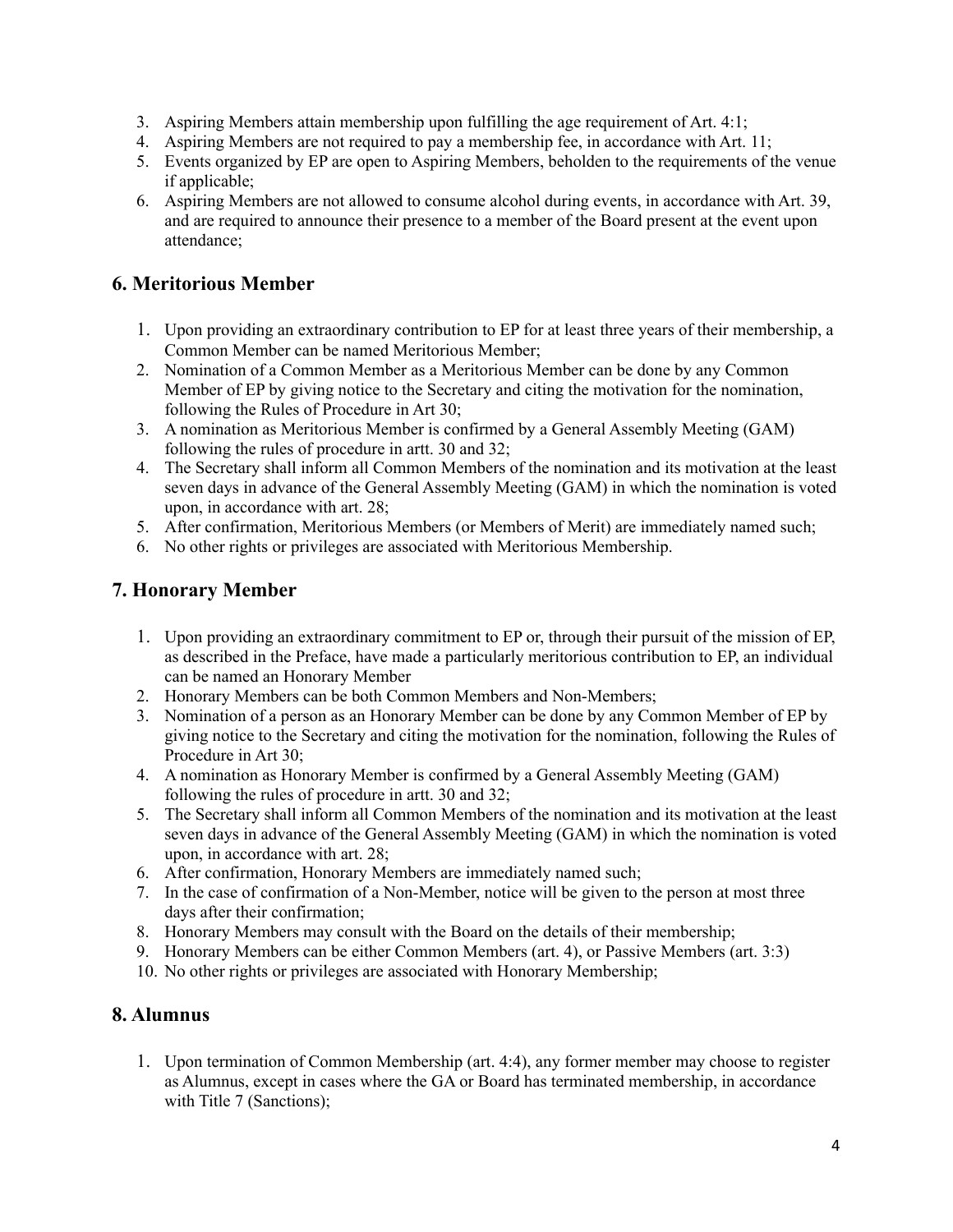- 3. Aspiring Members attain membership upon fulfilling the age requirement of Art. 4:1;
- 4. Aspiring Members are not required to pay a membership fee, in accordance with Art. 11;
- 5. Events organized by EP are open to Aspiring Members, beholden to the requirements of the venue if applicable;
- 6. Aspiring Members are not allowed to consume alcohol during events, in accordance with Art. 39, and are required to announce their presence to a member of the Board present at the event upon attendance;

# **6. Meritorious Member**

- 1. Upon providing an extraordinary contribution to EP for at least three years of their membership, a Common Member can be named Meritorious Member;
- 2. Nomination of a Common Member as a Meritorious Member can be done by any Common Member of EP by giving notice to the Secretary and citing the motivation for the nomination, following the Rules of Procedure in Art 30;
- 3. A nomination as Meritorious Member is confirmed by a General Assembly Meeting (GAM) following the rules of procedure in artt. 30 and 32;
- 4. The Secretary shall inform all Common Members of the nomination and its motivation at the least seven days in advance of the General Assembly Meeting (GAM) in which the nomination is voted upon, in accordance with art. 28;
- 5. After confirmation, Meritorious Members (or Members of Merit) are immediately named such;
- 6. No other rights or privileges are associated with Meritorious Membership.

# **7. Honorary Member**

- 1. Upon providing an extraordinary commitment to EP or, through their pursuit of the mission of EP, as described in the Preface, have made a particularly meritorious contribution to EP, an individual can be named an Honorary Member
- 2. Honorary Members can be both Common Members and Non-Members;
- 3. Nomination of a person as an Honorary Member can be done by any Common Member of EP by giving notice to the Secretary and citing the motivation for the nomination, following the Rules of Procedure in Art 30;
- 4. A nomination as Honorary Member is confirmed by a General Assembly Meeting (GAM) following the rules of procedure in artt. 30 and 32;
- 5. The Secretary shall inform all Common Members of the nomination and its motivation at the least seven days in advance of the General Assembly Meeting (GAM) in which the nomination is voted upon, in accordance with art. 28;
- 6. After confirmation, Honorary Members are immediately named such;
- 7. In the case of confirmation of a Non-Member, notice will be given to the person at most three days after their confirmation;
- 8. Honorary Members may consult with the Board on the details of their membership;
- 9. Honorary Members can be either Common Members (art. 4), or Passive Members (art. 3:3)
- 10. No other rights or privileges are associated with Honorary Membership;

## **8. Alumnus**

1. Upon termination of Common Membership (art. 4:4), any former member may choose to register as Alumnus, except in cases where the GA or Board has terminated membership, in accordance with Title 7 (Sanctions);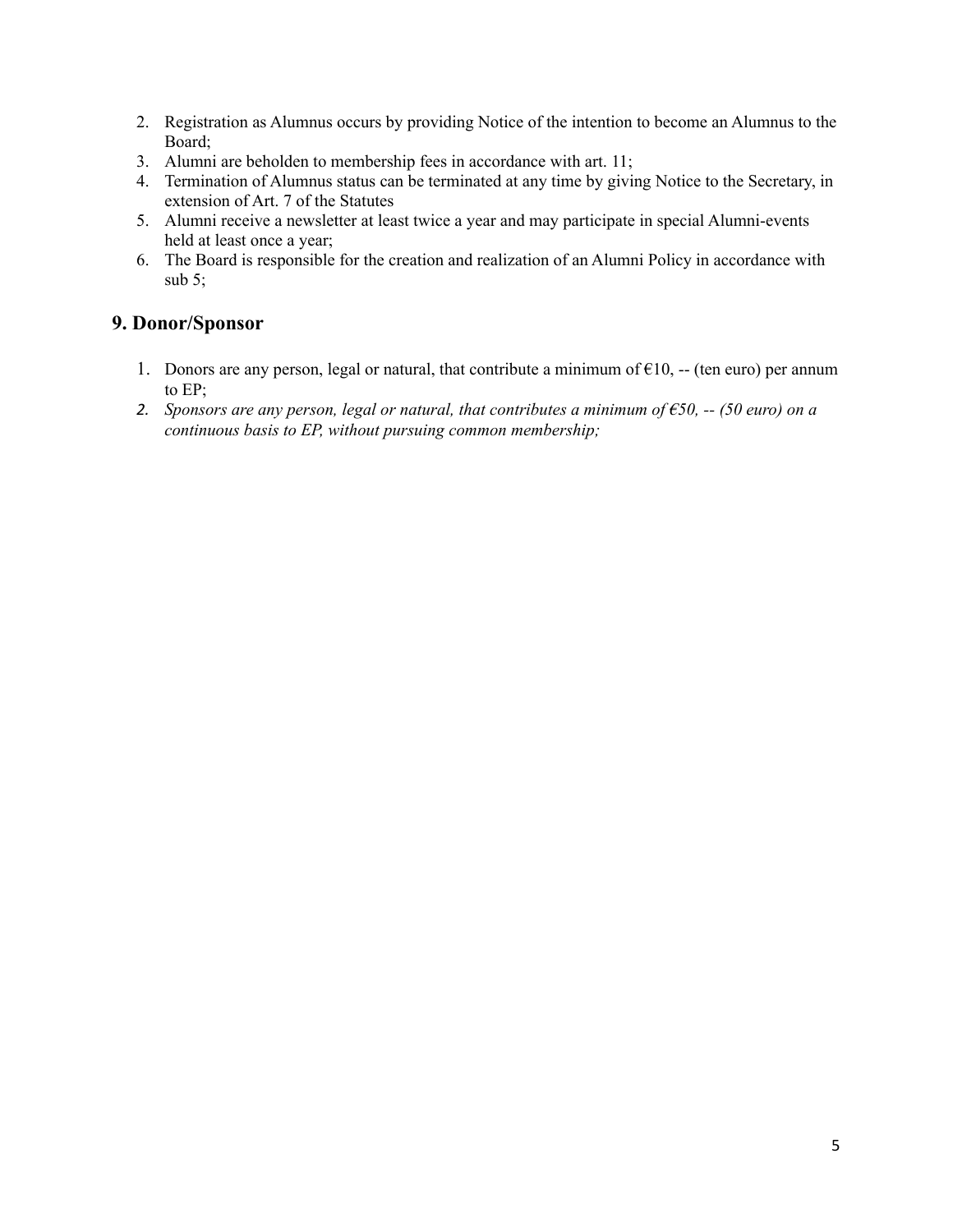- 2. Registration as Alumnus occurs by providing Notice of the intention to become an Alumnus to the Board;
- 3. Alumni are beholden to membership fees in accordance with art. 11;
- 4. Termination of Alumnus status can be terminated at any time by giving Notice to the Secretary, in extension of Art. 7 of the Statutes
- 5. Alumni receive a newsletter at least twice a year and may participate in special Alumni-events held at least once a year;
- 6. The Board is responsible for the creation and realization of an Alumni Policy in accordance with sub  $5$ ;

### **9. Donor/Sponsor**

- 1. Donors are any person, legal or natural, that contribute a minimum of  $\epsilon$ 10, -- (ten euro) per annum to EP;
- 2. Sponsors are any person, legal or natural, that contributes a minimum of  $\epsilon$ 50, -- (50 euro) on a *continuous basis to EP, without pursuing common membership;*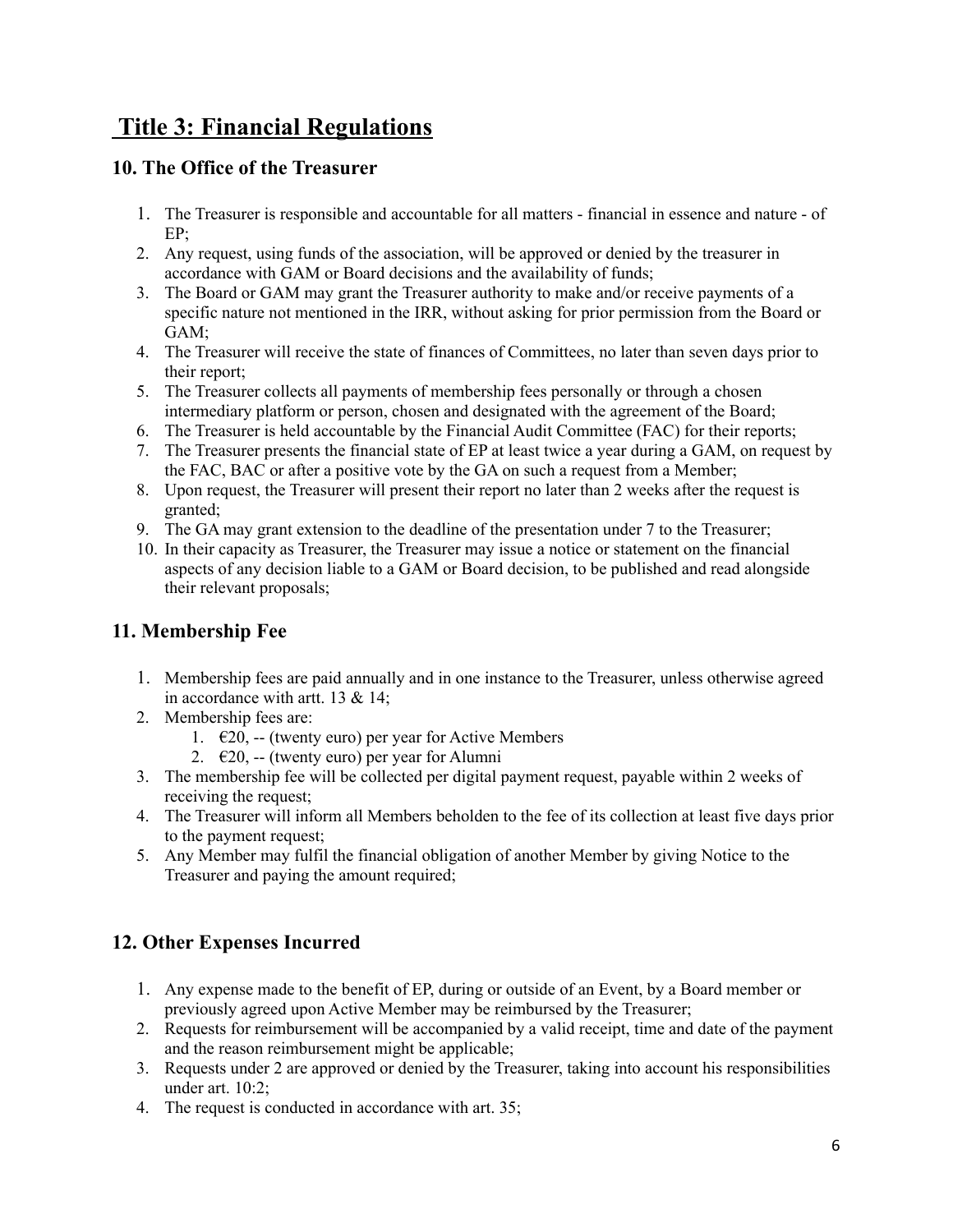# **Title 3: Financial Regulations**

# **10. The Office of the Treasurer**

- 1. The Treasurer is responsible and accountable for all matters financial in essence and nature of EP;
- 2. Any request, using funds of the association, will be approved or denied by the treasurer in accordance with GAM or Board decisions and the availability of funds;
- 3. The Board or GAM may grant the Treasurer authority to make and/or receive payments of a specific nature not mentioned in the IRR, without asking for prior permission from the Board or GAM;
- 4. The Treasurer will receive the state of finances of Committees, no later than seven days prior to their report;
- 5. The Treasurer collects all payments of membership fees personally or through a chosen intermediary platform or person, chosen and designated with the agreement of the Board;
- 6. The Treasurer is held accountable by the Financial Audit Committee (FAC) for their reports;
- 7. The Treasurer presents the financial state of EP at least twice a year during a GAM, on request by the FAC, BAC or after a positive vote by the GA on such a request from a Member;
- 8. Upon request, the Treasurer will present their report no later than 2 weeks after the request is granted;
- 9. The GA may grant extension to the deadline of the presentation under 7 to the Treasurer;
- 10. In their capacity as Treasurer, the Treasurer may issue a notice or statement on the financial aspects of any decision liable to a GAM or Board decision, to be published and read alongside their relevant proposals;

# **11. Membership Fee**

- 1. Membership fees are paid annually and in one instance to the Treasurer, unless otherwise agreed in accordance with artt. 13 & 14;
- 2. Membership fees are:
	- 1.  $\epsilon$ 20, -- (twenty euro) per year for Active Members
	- 2.  $\epsilon$ 20, -- (twenty euro) per year for Alumni
- 3. The membership fee will be collected per digital payment request, payable within 2 weeks of receiving the request;
- 4. The Treasurer will inform all Members beholden to the fee of its collection at least five days prior to the payment request;
- 5. Any Member may fulfil the financial obligation of another Member by giving Notice to the Treasurer and paying the amount required;

# **12. Other Expenses Incurred**

- 1. Any expense made to the benefit of EP, during or outside of an Event, by a Board member or previously agreed upon Active Member may be reimbursed by the Treasurer;
- 2. Requests for reimbursement will be accompanied by a valid receipt, time and date of the payment and the reason reimbursement might be applicable;
- 3. Requests under 2 are approved or denied by the Treasurer, taking into account his responsibilities under art. 10:2;
- 4. The request is conducted in accordance with art. 35;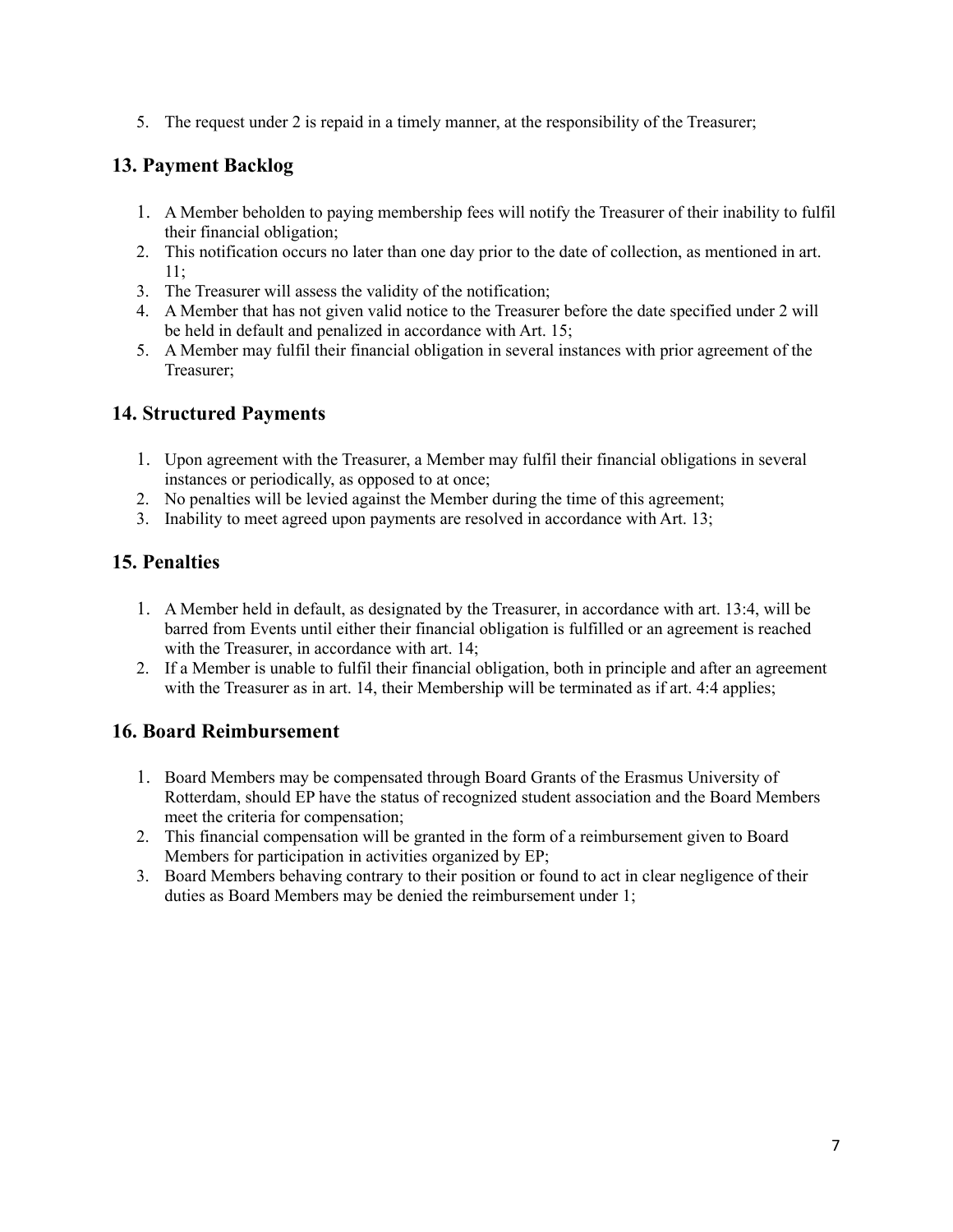5. The request under 2 is repaid in a timely manner, at the responsibility of the Treasurer;

# **13. Payment Backlog**

- 1. A Member beholden to paying membership fees will notify the Treasurer of their inability to fulfil their financial obligation;
- 2. This notification occurs no later than one day prior to the date of collection, as mentioned in art. 11;
- 3. The Treasurer will assess the validity of the notification;
- 4. A Member that has not given valid notice to the Treasurer before the date specified under 2 will be held in default and penalized in accordance with Art. 15;
- 5. A Member may fulfil their financial obligation in several instances with prior agreement of the Treasurer;

# **14. Structured Payments**

- 1. Upon agreement with the Treasurer, a Member may fulfil their financial obligations in several instances or periodically, as opposed to at once;
- 2. No penalties will be levied against the Member during the time of this agreement;
- 3. Inability to meet agreed upon payments are resolved in accordance with Art. 13;

# **15. Penalties**

- 1. A Member held in default, as designated by the Treasurer, in accordance with art. 13:4, will be barred from Events until either their financial obligation is fulfilled or an agreement is reached with the Treasurer, in accordance with art. 14;
- 2. If a Member is unable to fulfil their financial obligation, both in principle and after an agreement with the Treasurer as in art. 14, their Membership will be terminated as if art. 4:4 applies;

# **16. Board Reimbursement**

- 1. Board Members may be compensated through Board Grants of the Erasmus University of Rotterdam, should EP have the status of recognized student association and the Board Members meet the criteria for compensation;
- 2. This financial compensation will be granted in the form of a reimbursement given to Board Members for participation in activities organized by EP;
- 3. Board Members behaving contrary to their position or found to act in clear negligence of their duties as Board Members may be denied the reimbursement under 1;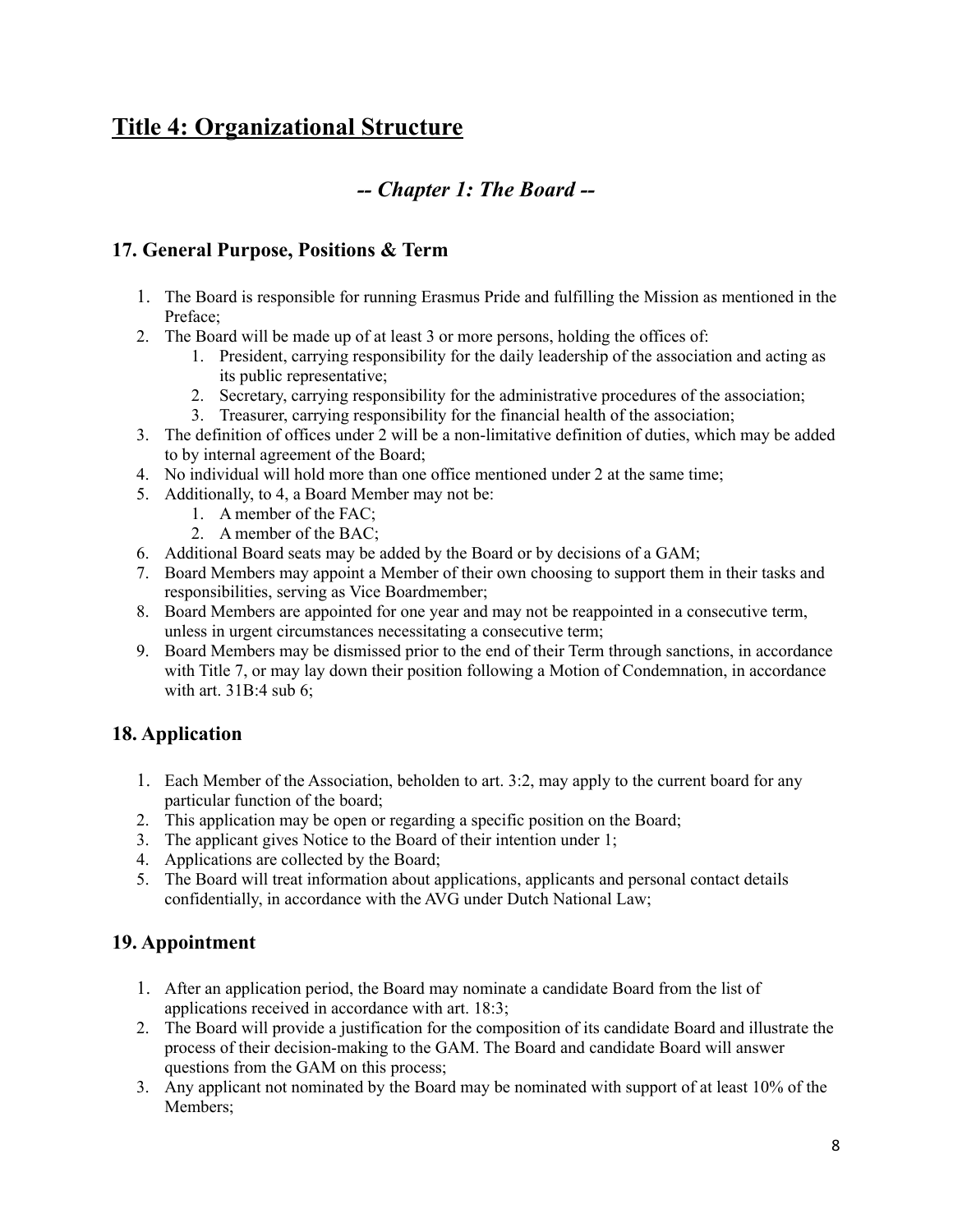# **Title 4: Organizational Structure**

# *-- Chapter 1: The Board --*

# **17. General Purpose, Positions & Term**

- 1. The Board is responsible for running Erasmus Pride and fulfilling the Mission as mentioned in the Preface;
- 2. The Board will be made up of at least 3 or more persons, holding the offices of:
	- 1. President, carrying responsibility for the daily leadership of the association and acting as its public representative;
	- 2. Secretary, carrying responsibility for the administrative procedures of the association;
	- 3. Treasurer, carrying responsibility for the financial health of the association;
- 3. The definition of offices under 2 will be a non-limitative definition of duties, which may be added to by internal agreement of the Board;
- 4. No individual will hold more than one office mentioned under 2 at the same time;
- 5. Additionally, to 4, a Board Member may not be:
	- 1. A member of the FAC;
	- 2. A member of the BAC;
- 6. Additional Board seats may be added by the Board or by decisions of a GAM;
- 7. Board Members may appoint a Member of their own choosing to support them in their tasks and responsibilities, serving as Vice Boardmember;
- 8. Board Members are appointed for one year and may not be reappointed in a consecutive term, unless in urgent circumstances necessitating a consecutive term;
- 9. Board Members may be dismissed prior to the end of their Term through sanctions, in accordance with Title 7, or may lay down their position following a Motion of Condemnation, in accordance with art. 31B:4 sub 6;

## **18. Application**

- 1. Each Member of the Association, beholden to art. 3:2, may apply to the current board for any particular function of the board;
- 2. This application may be open or regarding a specific position on the Board;
- 3. The applicant gives Notice to the Board of their intention under 1;
- 4. Applications are collected by the Board;
- 5. The Board will treat information about applications, applicants and personal contact details confidentially, in accordance with the AVG under Dutch National Law;

## **19. Appointment**

- 1. After an application period, the Board may nominate a candidate Board from the list of applications received in accordance with art. 18:3;
- 2. The Board will provide a justification for the composition of its candidate Board and illustrate the process of their decision-making to the GAM. The Board and candidate Board will answer questions from the GAM on this process;
- 3. Any applicant not nominated by the Board may be nominated with support of at least 10% of the Members;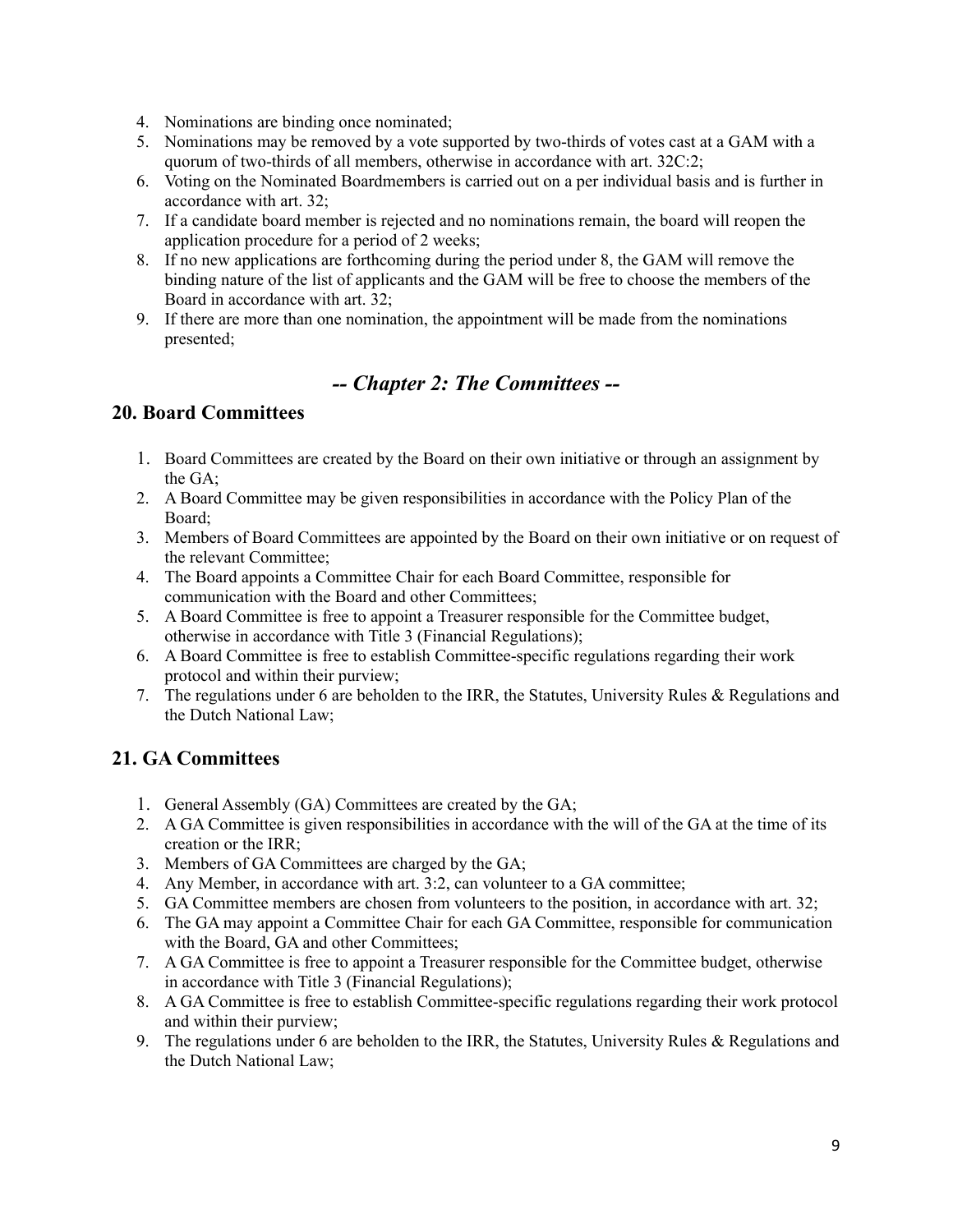- 4. Nominations are binding once nominated;
- 5. Nominations may be removed by a vote supported by two-thirds of votes cast at a GAM with a quorum of two-thirds of all members, otherwise in accordance with art. 32C:2;
- 6. Voting on the Nominated Boardmembers is carried out on a per individual basis and is further in accordance with art. 32;
- 7. If a candidate board member is rejected and no nominations remain, the board will reopen the application procedure for a period of 2 weeks;
- 8. If no new applications are forthcoming during the period under 8, the GAM will remove the binding nature of the list of applicants and the GAM will be free to choose the members of the Board in accordance with art. 32;
- 9. If there are more than one nomination, the appointment will be made from the nominations presented;

# *-- Chapter 2: The Committees --*

# **20. Board Committees**

- 1. Board Committees are created by the Board on their own initiative or through an assignment by the GA;
- 2. A Board Committee may be given responsibilities in accordance with the Policy Plan of the Board;
- 3. Members of Board Committees are appointed by the Board on their own initiative or on request of the relevant Committee;
- 4. The Board appoints a Committee Chair for each Board Committee, responsible for communication with the Board and other Committees;
- 5. A Board Committee is free to appoint a Treasurer responsible for the Committee budget, otherwise in accordance with Title 3 (Financial Regulations);
- 6. A Board Committee is free to establish Committee-specific regulations regarding their work protocol and within their purview;
- 7. The regulations under 6 are beholden to the IRR, the Statutes, University Rules & Regulations and the Dutch National Law;

## **21. GA Committees**

- 1. General Assembly (GA) Committees are created by the GA;
- 2. A GA Committee is given responsibilities in accordance with the will of the GA at the time of its creation or the IRR;
- 3. Members of GA Committees are charged by the GA;
- 4. Any Member, in accordance with art. 3:2, can volunteer to a GA committee;
- 5. GA Committee members are chosen from volunteers to the position, in accordance with art. 32;
- 6. The GA may appoint a Committee Chair for each GA Committee, responsible for communication with the Board, GA and other Committees;
- 7. A GA Committee is free to appoint a Treasurer responsible for the Committee budget, otherwise in accordance with Title 3 (Financial Regulations);
- 8. A GA Committee is free to establish Committee-specific regulations regarding their work protocol and within their purview;
- 9. The regulations under 6 are beholden to the IRR, the Statutes, University Rules & Regulations and the Dutch National Law;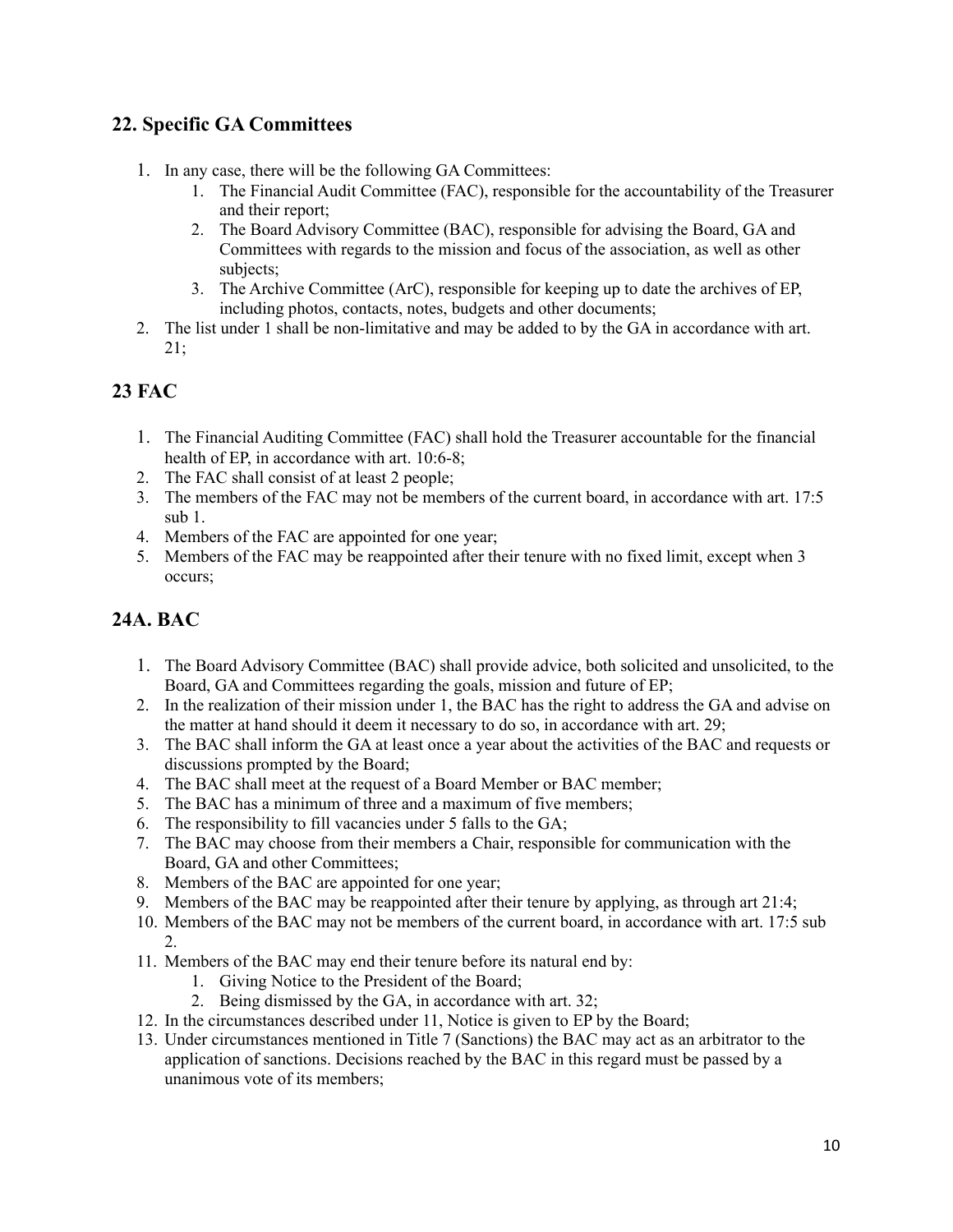# **22. Specific GA Committees**

- 1. In any case, there will be the following GA Committees:
	- 1. The Financial Audit Committee (FAC), responsible for the accountability of the Treasurer and their report;
	- 2. The Board Advisory Committee (BAC), responsible for advising the Board, GA and Committees with regards to the mission and focus of the association, as well as other subjects;
	- 3. The Archive Committee (ArC), responsible for keeping up to date the archives of EP, including photos, contacts, notes, budgets and other documents;
- 2. The list under 1 shall be non-limitative and may be added to by the GA in accordance with art. 21;

# **23 FAC**

- 1. The Financial Auditing Committee (FAC) shall hold the Treasurer accountable for the financial health of EP, in accordance with art. 10:6-8;
- 2. The FAC shall consist of at least 2 people;
- 3. The members of the FAC may not be members of the current board, in accordance with art. 17:5 sub 1.
- 4. Members of the FAC are appointed for one year;
- 5. Members of the FAC may be reappointed after their tenure with no fixed limit, except when 3 occurs;

# **24A. BAC**

- 1. The Board Advisory Committee (BAC) shall provide advice, both solicited and unsolicited, to the Board, GA and Committees regarding the goals, mission and future of EP;
- 2. In the realization of their mission under 1, the BAC has the right to address the GA and advise on the matter at hand should it deem it necessary to do so, in accordance with art. 29;
- 3. The BAC shall inform the GA at least once a year about the activities of the BAC and requests or discussions prompted by the Board;
- 4. The BAC shall meet at the request of a Board Member or BAC member;
- 5. The BAC has a minimum of three and a maximum of five members;
- 6. The responsibility to fill vacancies under 5 falls to the GA;
- 7. The BAC may choose from their members a Chair, responsible for communication with the Board, GA and other Committees;
- 8. Members of the BAC are appointed for one year;
- 9. Members of the BAC may be reappointed after their tenure by applying, as through art 21:4;
- 10. Members of the BAC may not be members of the current board, in accordance with art. 17:5 sub 2.
- 11. Members of the BAC may end their tenure before its natural end by:
	- 1. Giving Notice to the President of the Board;
	- 2. Being dismissed by the GA, in accordance with art. 32;
- 12. In the circumstances described under 11, Notice is given to EP by the Board;
- 13. Under circumstances mentioned in Title 7 (Sanctions) the BAC may act as an arbitrator to the application of sanctions. Decisions reached by the BAC in this regard must be passed by a unanimous vote of its members;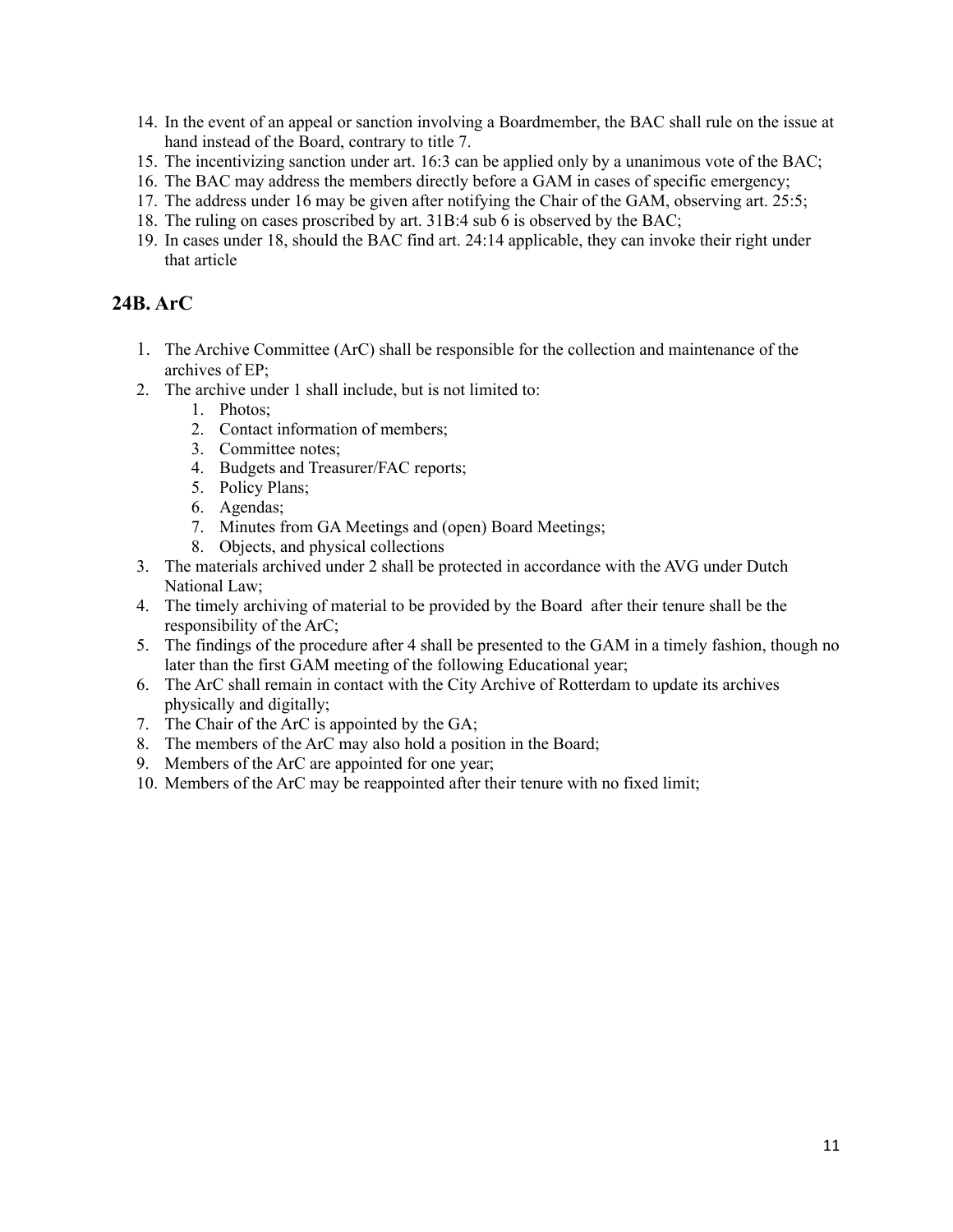- 14. In the event of an appeal or sanction involving a Boardmember, the BAC shall rule on the issue at hand instead of the Board, contrary to title 7.
- 15. The incentivizing sanction under art. 16:3 can be applied only by a unanimous vote of the BAC;
- 16. The BAC may address the members directly before a GAM in cases of specific emergency;
- 17. The address under 16 may be given after notifying the Chair of the GAM, observing art. 25:5;
- 18. The ruling on cases proscribed by art. 31B:4 sub 6 is observed by the BAC;
- 19. In cases under 18, should the BAC find art. 24:14 applicable, they can invoke their right under that article

## **24B. ArC**

- 1. The Archive Committee (ArC) shall be responsible for the collection and maintenance of the archives of EP;
- 2. The archive under 1 shall include, but is not limited to:
	- 1. Photos;
	- 2. Contact information of members;
	- 3. Committee notes;
	- 4. Budgets and Treasurer/FAC reports;
	- 5. Policy Plans;
	- 6. Agendas;
	- 7. Minutes from GA Meetings and (open) Board Meetings;
	- 8. Objects, and physical collections
- 3. The materials archived under 2 shall be protected in accordance with the AVG under Dutch National Law;
- 4. The timely archiving of material to be provided by the Board after their tenure shall be the responsibility of the ArC;
- 5. The findings of the procedure after 4 shall be presented to the GAM in a timely fashion, though no later than the first GAM meeting of the following Educational year;
- 6. The ArC shall remain in contact with the City Archive of Rotterdam to update its archives physically and digitally;
- 7. The Chair of the ArC is appointed by the GA;
- 8. The members of the ArC may also hold a position in the Board;
- 9. Members of the ArC are appointed for one year;
- 10. Members of the ArC may be reappointed after their tenure with no fixed limit;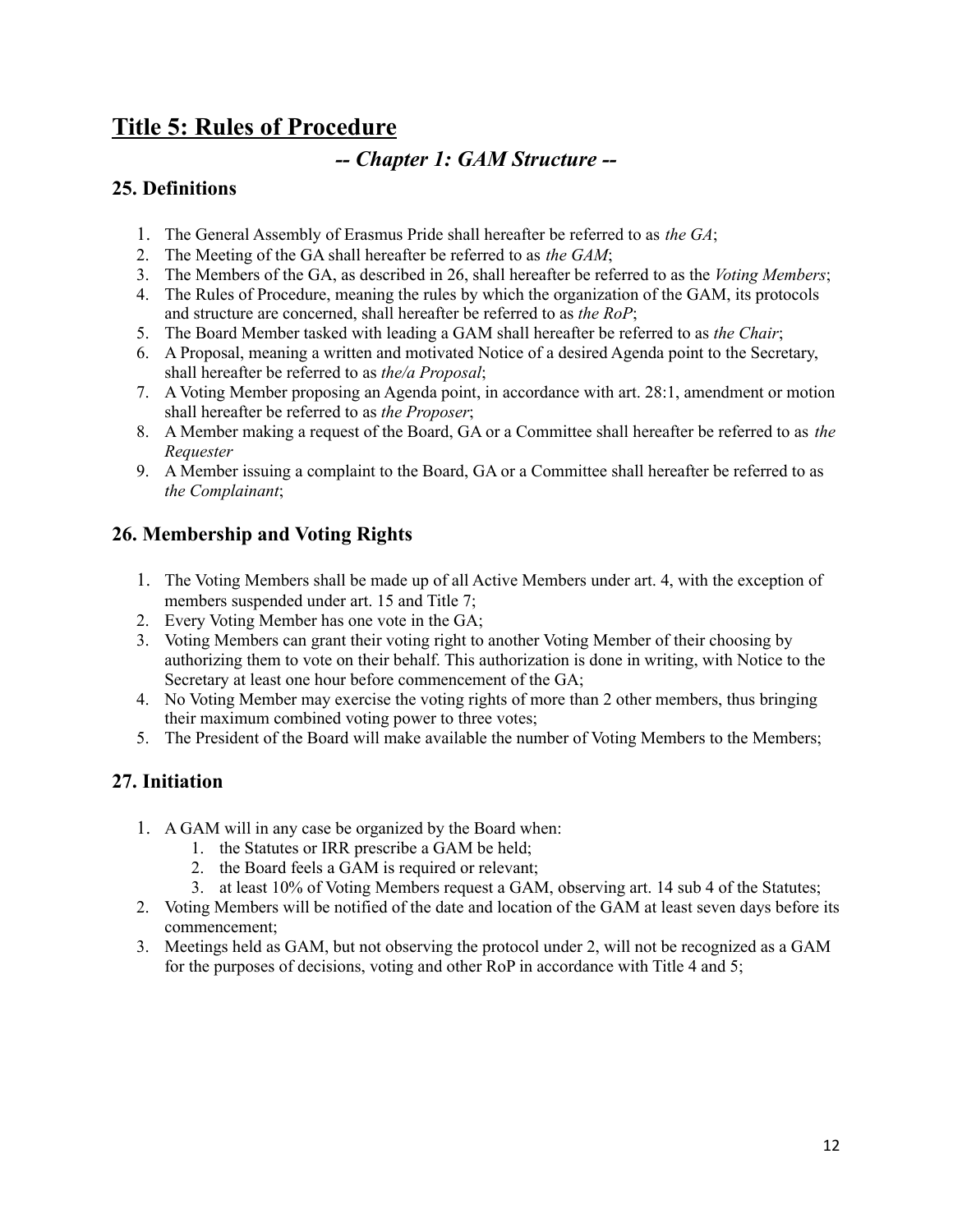# **Title 5: Rules of Procedure**

# *-- Chapter 1: GAM Structure --*

## **25. Definitions**

- 1. The General Assembly of Erasmus Pride shall hereafter be referred to as *the GA*;
- 2. The Meeting of the GA shall hereafter be referred to as *the GAM*;
- 3. The Members of the GA, as described in 26, shall hereafter be referred to as the *Voting Members*;
- 4. The Rules of Procedure, meaning the rules by which the organization of the GAM, its protocols and structure are concerned, shall hereafter be referred to as *the RoP*;
- 5. The Board Member tasked with leading a GAM shall hereafter be referred to as *the Chair*;
- 6. A Proposal, meaning a written and motivated Notice of a desired Agenda point to the Secretary, shall hereafter be referred to as *the/a Proposal*;
- 7. A Voting Member proposing an Agenda point, in accordance with art. 28:1, amendment or motion shall hereafter be referred to as *the Proposer*;
- 8. A Member making a request of the Board, GA or a Committee shall hereafter be referred to as *the Requester*
- 9. A Member issuing a complaint to the Board, GA or a Committee shall hereafter be referred to as *the Complainant*;

# **26. Membership and Voting Rights**

- 1. The Voting Members shall be made up of all Active Members under art. 4, with the exception of members suspended under art. 15 and Title 7;
- 2. Every Voting Member has one vote in the GA;
- 3. Voting Members can grant their voting right to another Voting Member of their choosing by authorizing them to vote on their behalf. This authorization is done in writing, with Notice to the Secretary at least one hour before commencement of the GA;
- 4. No Voting Member may exercise the voting rights of more than 2 other members, thus bringing their maximum combined voting power to three votes;
- 5. The President of the Board will make available the number of Voting Members to the Members;

# **27. Initiation**

- 1. A GAM will in any case be organized by the Board when:
	- 1. the Statutes or IRR prescribe a GAM be held;
	- 2. the Board feels a GAM is required or relevant;
	- 3. at least 10% of Voting Members request a GAM, observing art. 14 sub 4 of the Statutes;
- 2. Voting Members will be notified of the date and location of the GAM at least seven days before its commencement;
- 3. Meetings held as GAM, but not observing the protocol under 2, will not be recognized as a GAM for the purposes of decisions, voting and other RoP in accordance with Title 4 and 5;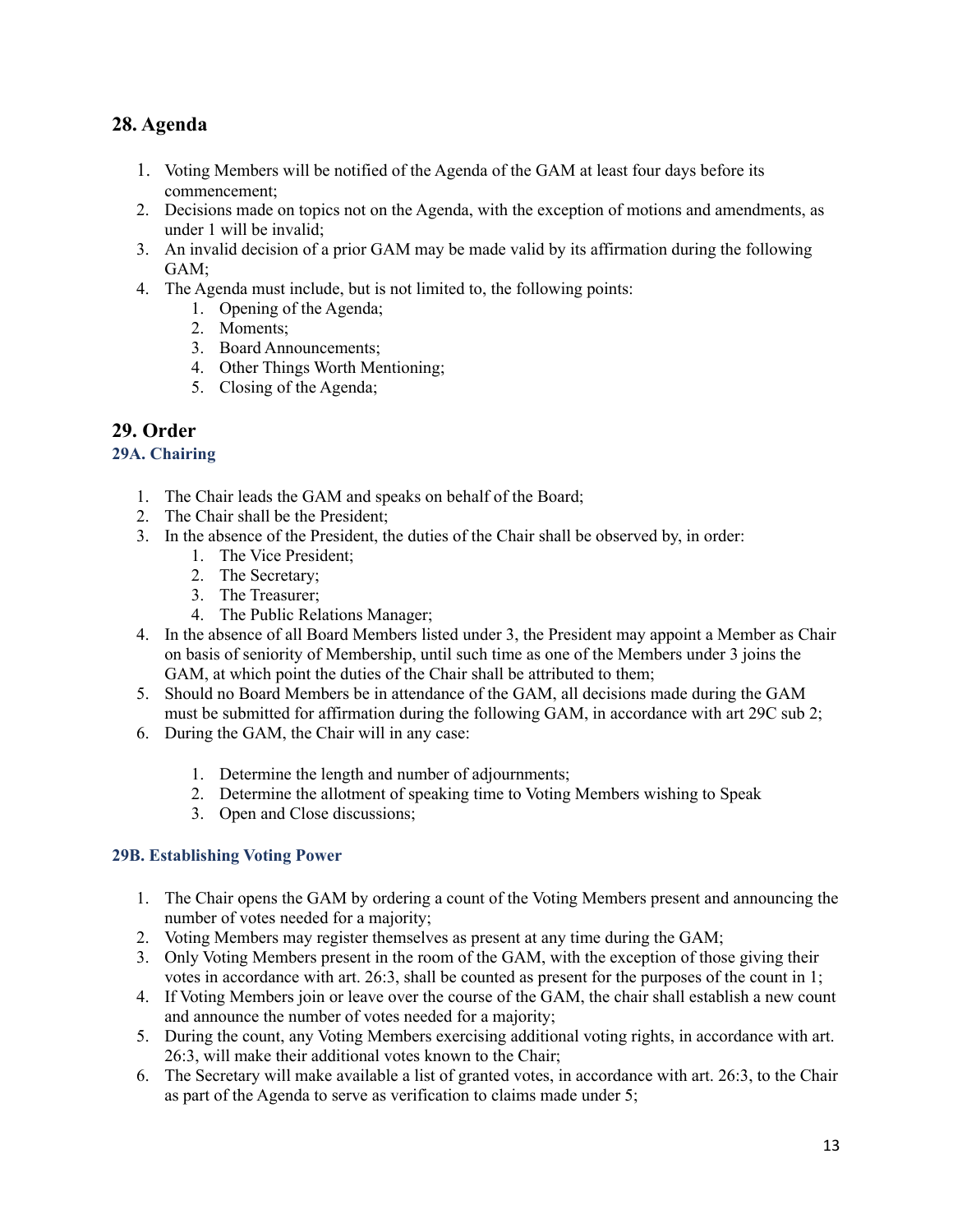# **28. Agenda**

- 1. Voting Members will be notified of the Agenda of the GAM at least four days before its commencement;
- 2. Decisions made on topics not on the Agenda, with the exception of motions and amendments, as under 1 will be invalid;
- 3. An invalid decision of a prior GAM may be made valid by its affirmation during the following GAM;
- 4. The Agenda must include, but is not limited to, the following points:
	- 1. Opening of the Agenda;
	- 2. Moments;
	- 3. Board Announcements;
	- 4. Other Things Worth Mentioning;
	- 5. Closing of the Agenda;

### **29. Order**

#### **29A. Chairing**

- 1. The Chair leads the GAM and speaks on behalf of the Board;
- 2. The Chair shall be the President;
- 3. In the absence of the President, the duties of the Chair shall be observed by, in order:
	- 1. The Vice President;
	- 2. The Secretary;
	- 3. The Treasurer;
	- 4. The Public Relations Manager;
- 4. In the absence of all Board Members listed under 3, the President may appoint a Member as Chair on basis of seniority of Membership, until such time as one of the Members under 3 joins the GAM, at which point the duties of the Chair shall be attributed to them;
- 5. Should no Board Members be in attendance of the GAM, all decisions made during the GAM must be submitted for affirmation during the following GAM, in accordance with art 29C sub 2;
- 6. During the GAM, the Chair will in any case:
	- 1. Determine the length and number of adjournments;
	- 2. Determine the allotment of speaking time to Voting Members wishing to Speak
	- 3. Open and Close discussions;

### **29B. Establishing Voting Power**

- 1. The Chair opens the GAM by ordering a count of the Voting Members present and announcing the number of votes needed for a majority;
- 2. Voting Members may register themselves as present at any time during the GAM;
- 3. Only Voting Members present in the room of the GAM, with the exception of those giving their votes in accordance with art. 26:3, shall be counted as present for the purposes of the count in 1;
- 4. If Voting Members join or leave over the course of the GAM, the chair shall establish a new count and announce the number of votes needed for a majority;
- 5. During the count, any Voting Members exercising additional voting rights, in accordance with art. 26:3, will make their additional votes known to the Chair;
- 6. The Secretary will make available a list of granted votes, in accordance with art. 26:3, to the Chair as part of the Agenda to serve as verification to claims made under 5;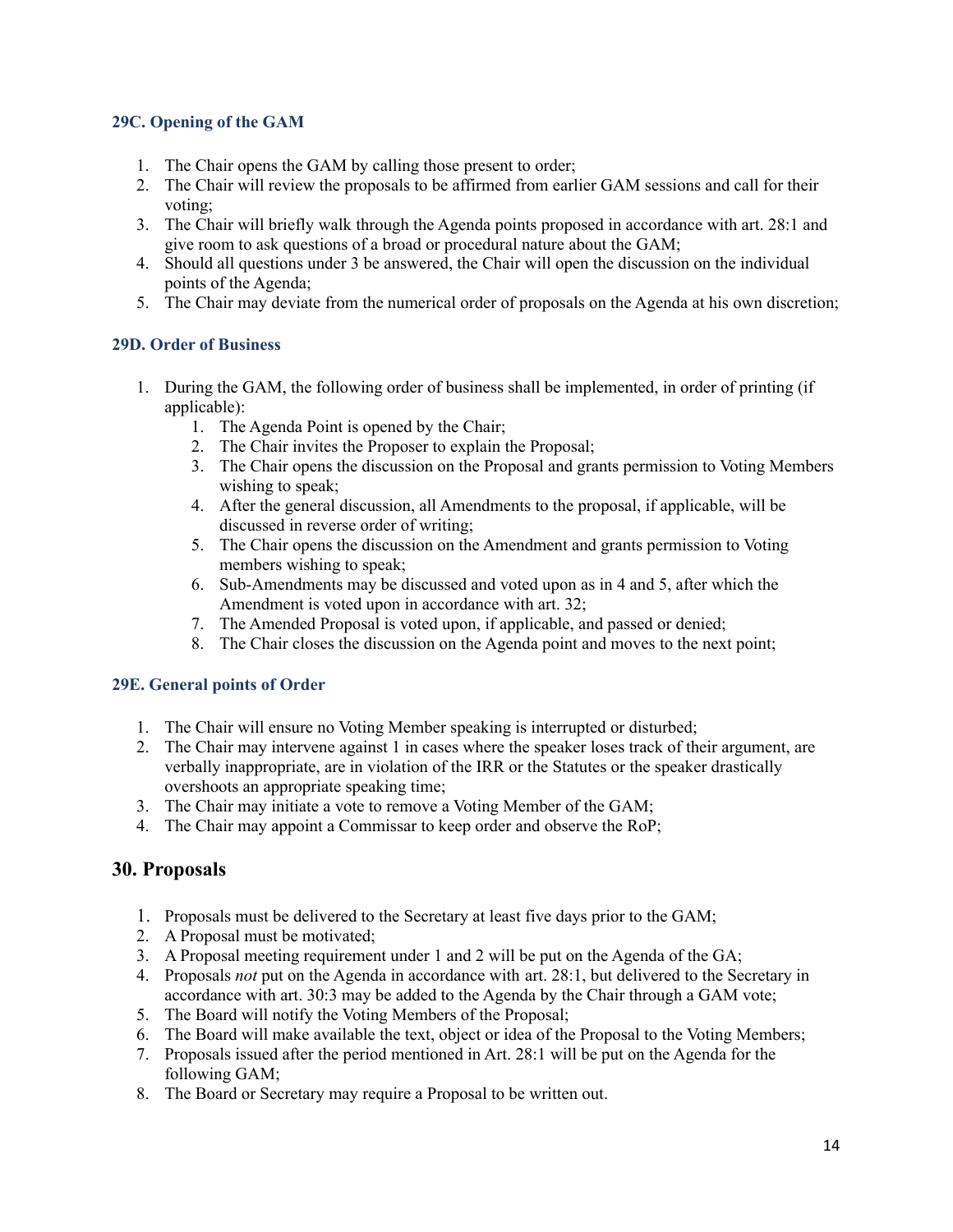#### **29C. Opening of the GAM**

- 1. The Chair opens the GAM by calling those present to order;
- 2. The Chair will review the proposals to be affirmed from earlier GAM sessions and call for their voting;
- 3. The Chair will briefly walk through the Agenda points proposed in accordance with art. 28:1 and give room to ask questions of a broad or procedural nature about the GAM;
- 4. Should all questions under 3 be answered, the Chair will open the discussion on the individual points of the Agenda;
- 5. The Chair may deviate from the numerical order of proposals on the Agenda at his own discretion;

#### **29D. Order of Business**

- 1. During the GAM, the following order of business shall be implemented, in order of printing (if applicable):
	- 1. The Agenda Point is opened by the Chair;
	- 2. The Chair invites the Proposer to explain the Proposal;
	- 3. The Chair opens the discussion on the Proposal and grants permission to Voting Members wishing to speak;
	- 4. After the general discussion, all Amendments to the proposal, if applicable, will be discussed in reverse order of writing;
	- 5. The Chair opens the discussion on the Amendment and grants permission to Voting members wishing to speak;
	- 6. Sub-Amendments may be discussed and voted upon as in 4 and 5, after which the Amendment is voted upon in accordance with art. 32;
	- 7. The Amended Proposal is voted upon, if applicable, and passed or denied;
	- 8. The Chair closes the discussion on the Agenda point and moves to the next point;

#### **29E. General points of Order**

- 1. The Chair will ensure no Voting Member speaking is interrupted or disturbed;
- 2. The Chair may intervene against 1 in cases where the speaker loses track of their argument, are verbally inappropriate, are in violation of the IRR or the Statutes or the speaker drastically overshoots an appropriate speaking time;
- 3. The Chair may initiate a vote to remove a Voting Member of the GAM;
- 4. The Chair may appoint a Commissar to keep order and observe the RoP;

### **30. Proposals**

- 1. Proposals must be delivered to the Secretary at least five days prior to the GAM;
- 2. A Proposal must be motivated;
- 3. A Proposal meeting requirement under 1 and 2 will be put on the Agenda of the GA;
- 4. Proposals *not* put on the Agenda in accordance with art. 28:1, but delivered to the Secretary in accordance with art. 30:3 may be added to the Agenda by the Chair through a GAM vote;
- 5. The Board will notify the Voting Members of the Proposal;
- 6. The Board will make available the text, object or idea of the Proposal to the Voting Members;
- 7. Proposals issued after the period mentioned in Art. 28:1 will be put on the Agenda for the following GAM;
- 8. The Board or Secretary may require a Proposal to be written out.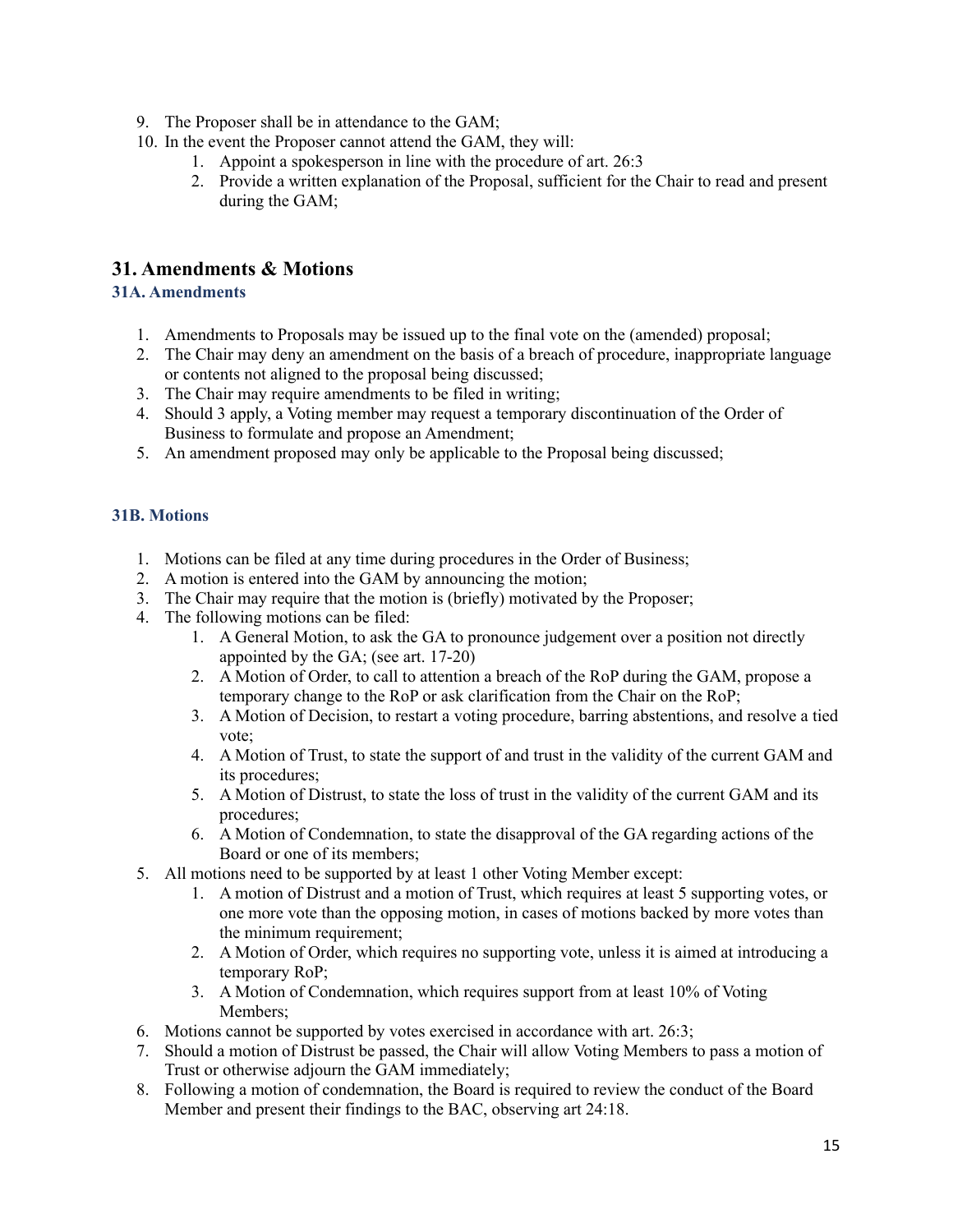- 9. The Proposer shall be in attendance to the GAM;
- 10. In the event the Proposer cannot attend the GAM, they will:
	- 1. Appoint a spokesperson in line with the procedure of art. 26:3
	- 2. Provide a written explanation of the Proposal, sufficient for the Chair to read and present during the GAM;

# **31. Amendments & Motions**

#### **31A. Amendments**

- 1. Amendments to Proposals may be issued up to the final vote on the (amended) proposal;
- 2. The Chair may deny an amendment on the basis of a breach of procedure, inappropriate language or contents not aligned to the proposal being discussed;
- 3. The Chair may require amendments to be filed in writing;
- 4. Should 3 apply, a Voting member may request a temporary discontinuation of the Order of Business to formulate and propose an Amendment;
- 5. An amendment proposed may only be applicable to the Proposal being discussed;

#### **31B. Motions**

- 1. Motions can be filed at any time during procedures in the Order of Business;
- 2. A motion is entered into the GAM by announcing the motion;
- 3. The Chair may require that the motion is (briefly) motivated by the Proposer;
- 4. The following motions can be filed:
	- 1. A General Motion, to ask the GA to pronounce judgement over a position not directly appointed by the GA; (see art. 17-20)
	- 2. A Motion of Order, to call to attention a breach of the RoP during the GAM, propose a temporary change to the RoP or ask clarification from the Chair on the RoP;
	- 3. A Motion of Decision, to restart a voting procedure, barring abstentions, and resolve a tied vote;
	- 4. A Motion of Trust, to state the support of and trust in the validity of the current GAM and its procedures;
	- 5. A Motion of Distrust, to state the loss of trust in the validity of the current GAM and its procedures;
	- 6. A Motion of Condemnation, to state the disapproval of the GA regarding actions of the Board or one of its members;
- 5. All motions need to be supported by at least 1 other Voting Member except:
	- 1. A motion of Distrust and a motion of Trust, which requires at least 5 supporting votes, or one more vote than the opposing motion, in cases of motions backed by more votes than the minimum requirement;
	- 2. A Motion of Order, which requires no supporting vote, unless it is aimed at introducing a temporary RoP;
	- 3. A Motion of Condemnation, which requires support from at least 10% of Voting Members;
- 6. Motions cannot be supported by votes exercised in accordance with art. 26:3;
- 7. Should a motion of Distrust be passed, the Chair will allow Voting Members to pass a motion of Trust or otherwise adjourn the GAM immediately;
- 8. Following a motion of condemnation, the Board is required to review the conduct of the Board Member and present their findings to the BAC, observing art 24:18.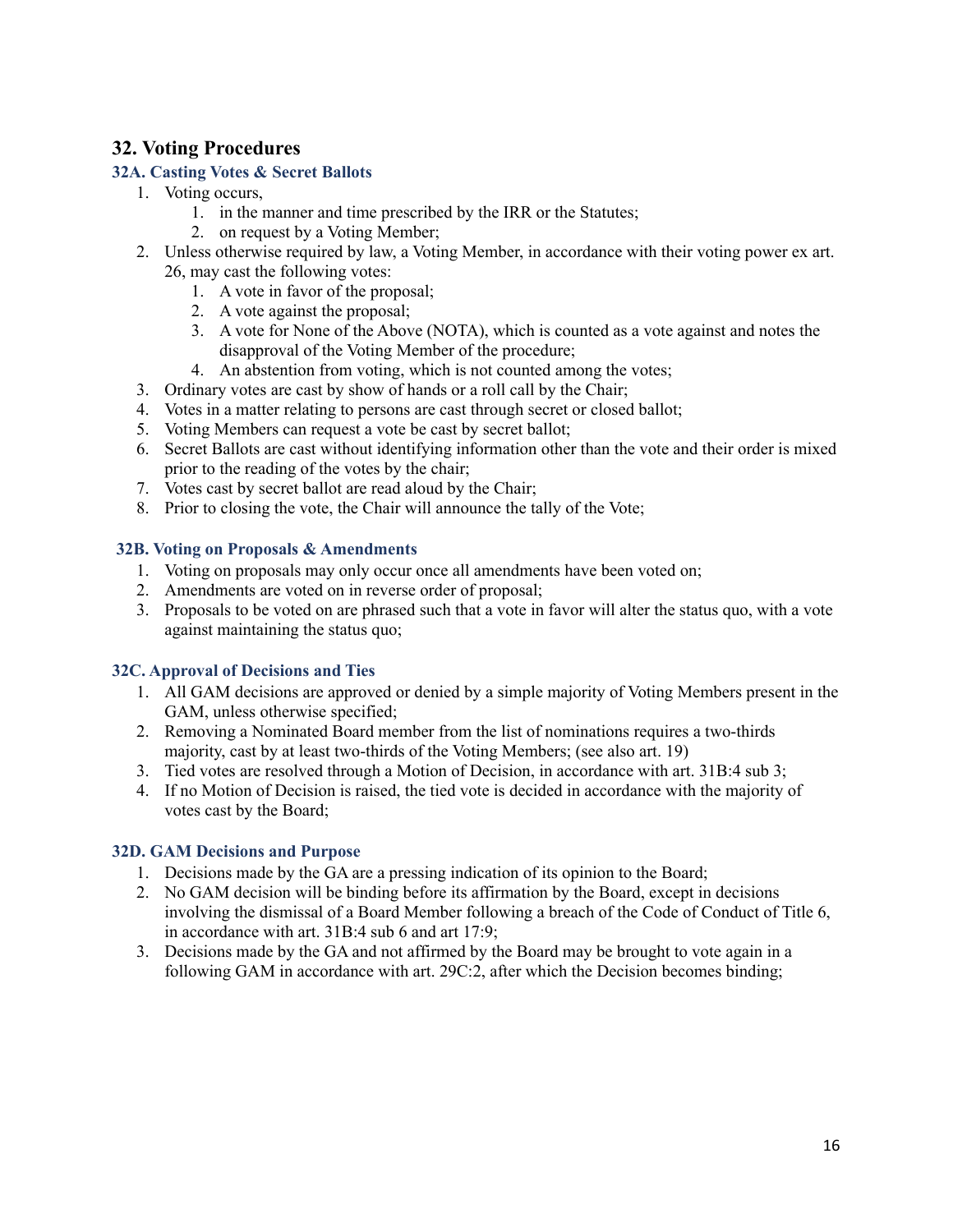# **32. Voting Procedures**

#### **32A. Casting Votes & Secret Ballots**

- 1. Voting occurs,
	- 1. in the manner and time prescribed by the IRR or the Statutes;
	- 2. on request by a Voting Member;
- 2. Unless otherwise required by law, a Voting Member, in accordance with their voting power ex art. 26, may cast the following votes:
	- 1. A vote in favor of the proposal;
	- 2. A vote against the proposal;
	- 3. A vote for None of the Above (NOTA), which is counted as a vote against and notes the disapproval of the Voting Member of the procedure;
	- 4. An abstention from voting, which is not counted among the votes;
- 3. Ordinary votes are cast by show of hands or a roll call by the Chair;
- 4. Votes in a matter relating to persons are cast through secret or closed ballot;
- 5. Voting Members can request a vote be cast by secret ballot;
- 6. Secret Ballots are cast without identifying information other than the vote and their order is mixed prior to the reading of the votes by the chair;
- 7. Votes cast by secret ballot are read aloud by the Chair;
- 8. Prior to closing the vote, the Chair will announce the tally of the Vote;

#### **32B. Voting on Proposals & Amendments**

- 1. Voting on proposals may only occur once all amendments have been voted on;
- 2. Amendments are voted on in reverse order of proposal;
- 3. Proposals to be voted on are phrased such that a vote in favor will alter the status quo, with a vote against maintaining the status quo;

#### **32C. Approval of Decisions and Ties**

- 1. All GAM decisions are approved or denied by a simple majority of Voting Members present in the GAM, unless otherwise specified;
- 2. Removing a Nominated Board member from the list of nominations requires a two-thirds majority, cast by at least two-thirds of the Voting Members; (see also art. 19)
- 3. Tied votes are resolved through a Motion of Decision, in accordance with art. 31B:4 sub 3;
- 4. If no Motion of Decision is raised, the tied vote is decided in accordance with the majority of votes cast by the Board;

#### **32D. GAM Decisions and Purpose**

- 1. Decisions made by the GA are a pressing indication of its opinion to the Board;
- 2. No GAM decision will be binding before its affirmation by the Board, except in decisions involving the dismissal of a Board Member following a breach of the Code of Conduct of Title 6, in accordance with art. 31B:4 sub 6 and art 17:9;
- 3. Decisions made by the GA and not affirmed by the Board may be brought to vote again in a following GAM in accordance with art. 29C:2, after which the Decision becomes binding;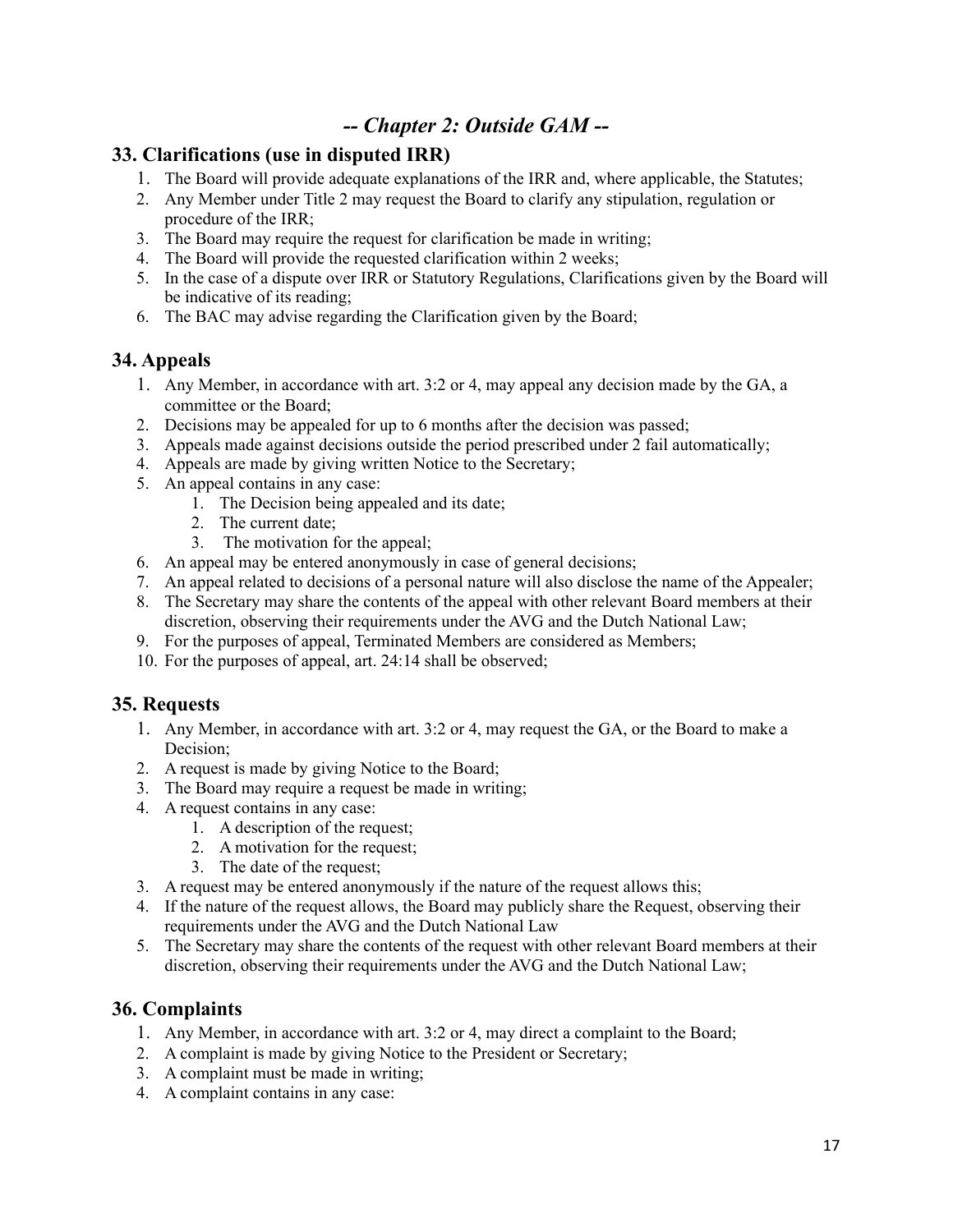# *-- Chapter 2: Outside GAM --*

### **33. Clarifications (use in disputed IRR)**

- 1. The Board will provide adequate explanations of the IRR and, where applicable, the Statutes;
- 2. Any Member under Title 2 may request the Board to clarify any stipulation, regulation or procedure of the IRR;
- 3. The Board may require the request for clarification be made in writing;
- 4. The Board will provide the requested clarification within 2 weeks;
- 5. In the case of a dispute over IRR or Statutory Regulations, Clarifications given by the Board will be indicative of its reading;
- 6. The BAC may advise regarding the Clarification given by the Board;

### **34. Appeals**

- 1. Any Member, in accordance with art. 3:2 or 4, may appeal any decision made by the GA, a committee or the Board;
- 2. Decisions may be appealed for up to 6 months after the decision was passed;
- 3. Appeals made against decisions outside the period prescribed under 2 fail automatically;
- 4. Appeals are made by giving written Notice to the Secretary;
- 5. An appeal contains in any case:
	- 1. The Decision being appealed and its date;
	- 2. The current date;
	- 3. The motivation for the appeal;
- 6. An appeal may be entered anonymously in case of general decisions;
- 7. An appeal related to decisions of a personal nature will also disclose the name of the Appealer;
- 8. The Secretary may share the contents of the appeal with other relevant Board members at their discretion, observing their requirements under the AVG and the Dutch National Law;
- 9. For the purposes of appeal, Terminated Members are considered as Members;
- 10. For the purposes of appeal, art. 24:14 shall be observed;

### **35. Requests**

- 1. Any Member, in accordance with art. 3:2 or 4, may request the GA, or the Board to make a Decision;
- 2. A request is made by giving Notice to the Board;
- 3. The Board may require a request be made in writing;
- 4. A request contains in any case:
	- 1. A description of the request;
	- 2. A motivation for the request;
	- 3. The date of the request;
- 3. A request may be entered anonymously if the nature of the request allows this;
- 4. If the nature of the request allows, the Board may publicly share the Request, observing their requirements under the AVG and the Dutch National Law
- 5. The Secretary may share the contents of the request with other relevant Board members at their discretion, observing their requirements under the AVG and the Dutch National Law;

### **36. Complaints**

- 1. Any Member, in accordance with art. 3:2 or 4, may direct a complaint to the Board;
- 2. A complaint is made by giving Notice to the President or Secretary;
- 3. A complaint must be made in writing;
- 4. A complaint contains in any case: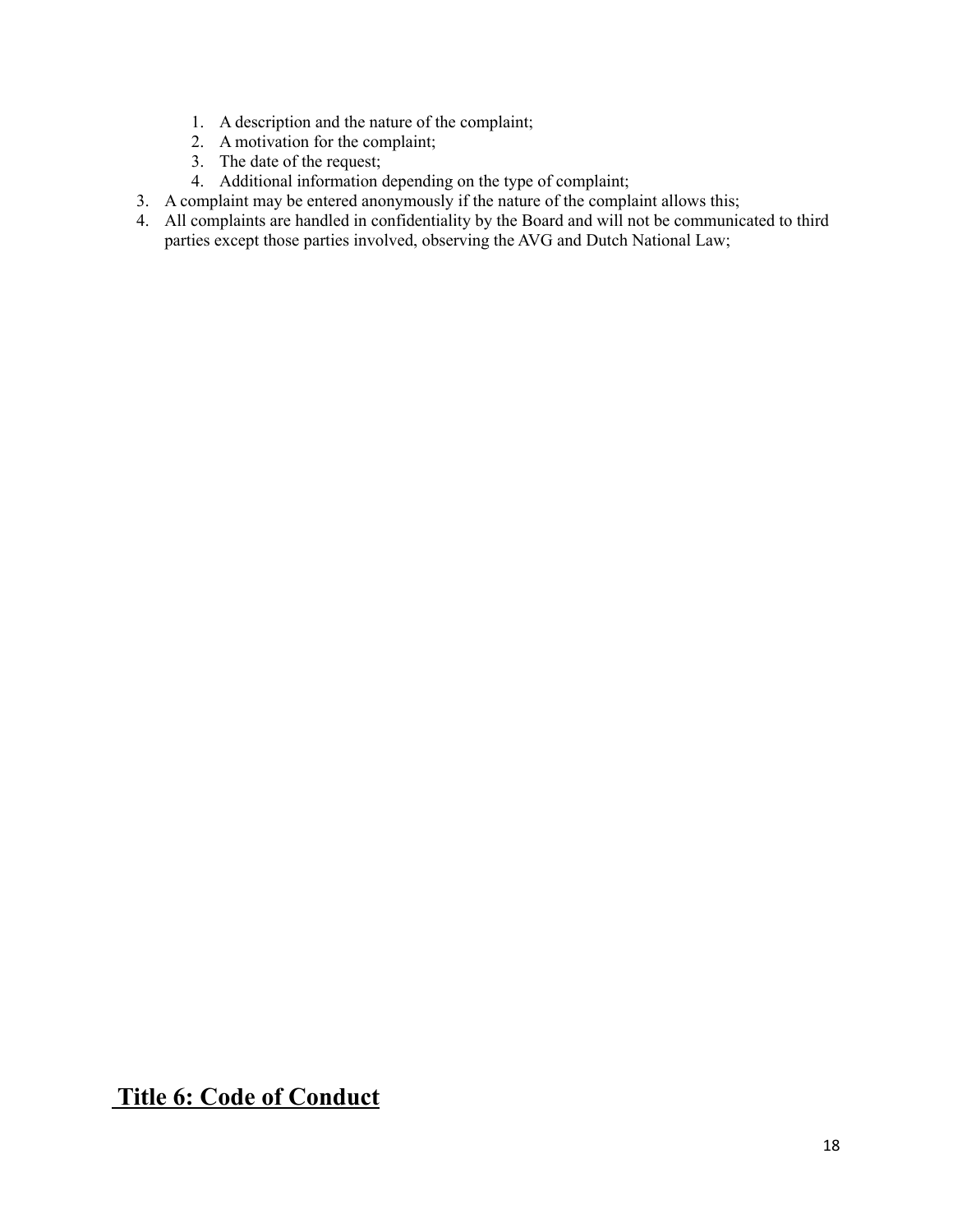- 1. A description and the nature of the complaint;
- 2. A motivation for the complaint;
- 3. The date of the request;
- 4. Additional information depending on the type of complaint;
- 3. A complaint may be entered anonymously if the nature of the complaint allows this;
- 4. All complaints are handled in confidentiality by the Board and will not be communicated to third parties except those parties involved, observing the AVG and Dutch National Law;

# **Title 6: Code of Conduct**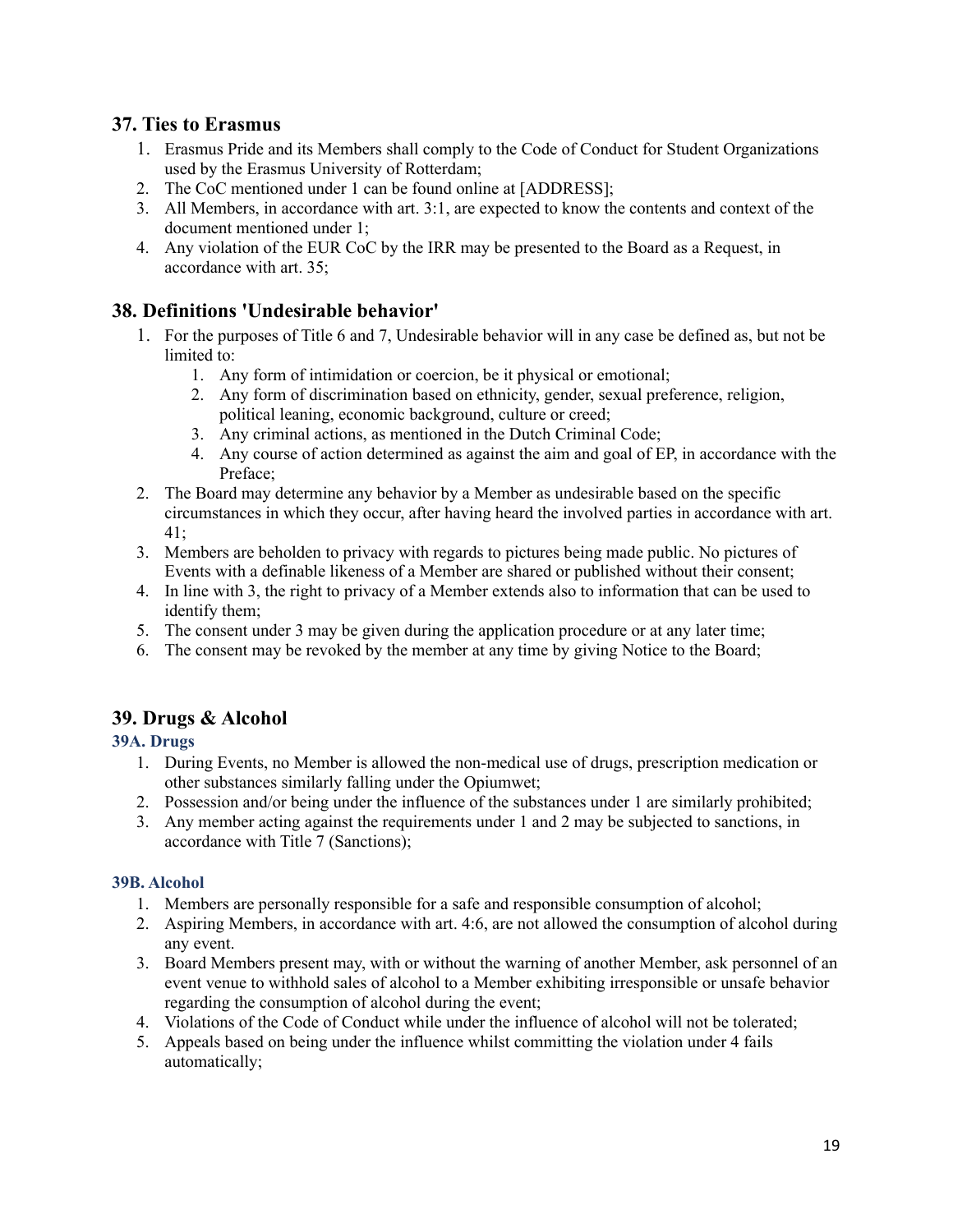### **37. Ties to Erasmus**

- 1. Erasmus Pride and its Members shall comply to the Code of Conduct for Student Organizations used by the Erasmus University of Rotterdam;
- 2. The CoC mentioned under 1 can be found online at [ADDRESS];
- 3. All Members, in accordance with art. 3:1, are expected to know the contents and context of the document mentioned under 1;
- 4. Any violation of the EUR CoC by the IRR may be presented to the Board as a Request, in accordance with art. 35;

## **38. Definitions 'Undesirable behavior'**

- 1. For the purposes of Title 6 and 7, Undesirable behavior will in any case be defined as, but not be limited to:
	- 1. Any form of intimidation or coercion, be it physical or emotional;
	- 2. Any form of discrimination based on ethnicity, gender, sexual preference, religion, political leaning, economic background, culture or creed;
	- 3. Any criminal actions, as mentioned in the Dutch Criminal Code;
	- 4. Any course of action determined as against the aim and goal of EP, in accordance with the Preface;
- 2. The Board may determine any behavior by a Member as undesirable based on the specific circumstances in which they occur, after having heard the involved parties in accordance with art. 41;
- 3. Members are beholden to privacy with regards to pictures being made public. No pictures of Events with a definable likeness of a Member are shared or published without their consent;
- 4. In line with 3, the right to privacy of a Member extends also to information that can be used to identify them;
- 5. The consent under 3 may be given during the application procedure or at any later time;
- 6. The consent may be revoked by the member at any time by giving Notice to the Board;

## **39. Drugs & Alcohol**

### **39A. Drugs**

- 1. During Events, no Member is allowed the non-medical use of drugs, prescription medication or other substances similarly falling under the Opiumwet;
- 2. Possession and/or being under the influence of the substances under 1 are similarly prohibited;
- 3. Any member acting against the requirements under 1 and 2 may be subjected to sanctions, in accordance with Title 7 (Sanctions);

#### **39B. Alcohol**

- 1. Members are personally responsible for a safe and responsible consumption of alcohol;
- 2. Aspiring Members, in accordance with art. 4:6, are not allowed the consumption of alcohol during any event.
- 3. Board Members present may, with or without the warning of another Member, ask personnel of an event venue to withhold sales of alcohol to a Member exhibiting irresponsible or unsafe behavior regarding the consumption of alcohol during the event;
- 4. Violations of the Code of Conduct while under the influence of alcohol will not be tolerated;
- 5. Appeals based on being under the influence whilst committing the violation under 4 fails automatically;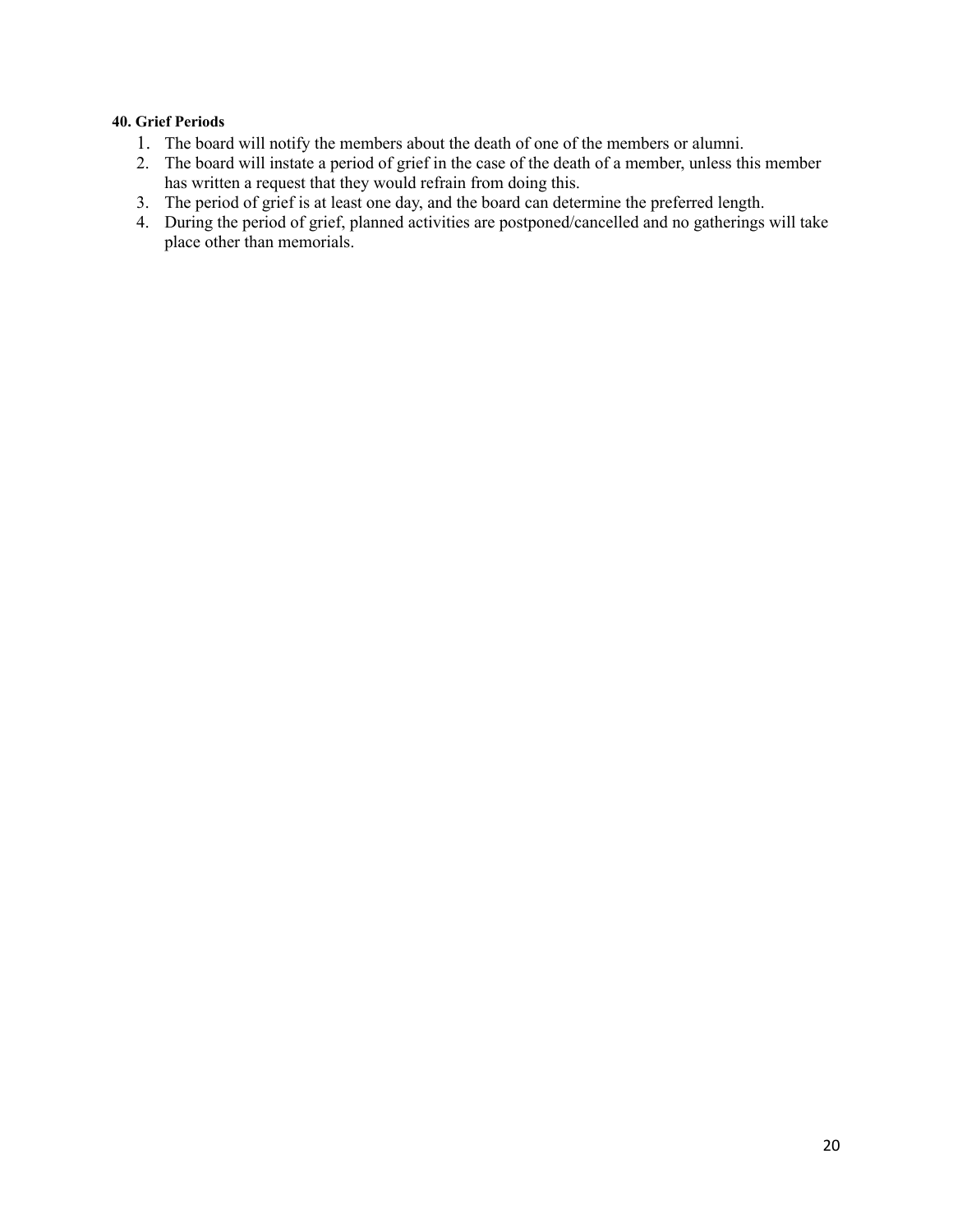#### **40. Grief Periods**

- 1. The board will notify the members about the death of one of the members or alumni.
- 2. The board will instate a period of grief in the case of the death of a member, unless this member has written a request that they would refrain from doing this.
- 3. The period of grief is at least one day, and the board can determine the preferred length.
- 4. During the period of grief, planned activities are postponed/cancelled and no gatherings will take place other than memorials.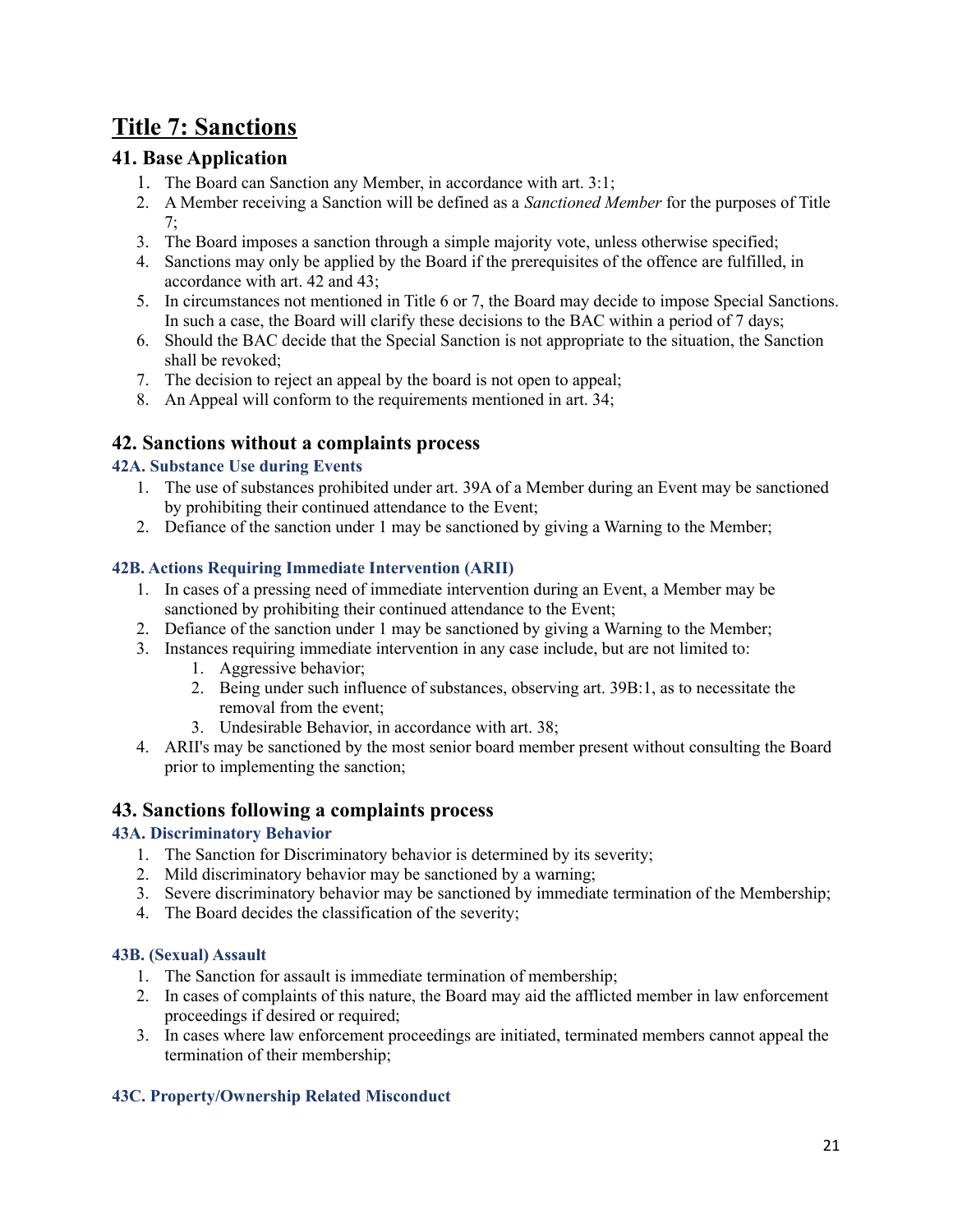# **Title 7: Sanctions**

# **41. Base Application**

- 1. The Board can Sanction any Member, in accordance with art. 3:1;
- 2. A Member receiving a Sanction will be defined as a *Sanctioned Member* for the purposes of Title 7;
- 3. The Board imposes a sanction through a simple majority vote, unless otherwise specified;
- 4. Sanctions may only be applied by the Board if the prerequisites of the offence are fulfilled, in accordance with art. 42 and 43;
- 5. In circumstances not mentioned in Title 6 or 7, the Board may decide to impose Special Sanctions. In such a case, the Board will clarify these decisions to the BAC within a period of 7 days;
- 6. Should the BAC decide that the Special Sanction is not appropriate to the situation, the Sanction shall be revoked;
- 7. The decision to reject an appeal by the board is not open to appeal;
- 8. An Appeal will conform to the requirements mentioned in art. 34;

# **42. Sanctions without a complaints process**

#### **42A. Substance Use during Events**

- 1. The use of substances prohibited under art. 39A of a Member during an Event may be sanctioned by prohibiting their continued attendance to the Event;
- 2. Defiance of the sanction under 1 may be sanctioned by giving a Warning to the Member;

#### **42B. Actions Requiring Immediate Intervention (ARII)**

- 1. In cases of a pressing need of immediate intervention during an Event, a Member may be sanctioned by prohibiting their continued attendance to the Event;
- 2. Defiance of the sanction under 1 may be sanctioned by giving a Warning to the Member;
- 3. Instances requiring immediate intervention in any case include, but are not limited to:
	- 1. Aggressive behavior;
	- 2. Being under such influence of substances, observing art. 39B:1, as to necessitate the removal from the event;
	- 3. Undesirable Behavior, in accordance with art. 38;
- 4. ARII's may be sanctioned by the most senior board member present without consulting the Board prior to implementing the sanction;

### **43. Sanctions following a complaints process**

#### **43A. Discriminatory Behavior**

- 1. The Sanction for Discriminatory behavior is determined by its severity;
- 2. Mild discriminatory behavior may be sanctioned by a warning;
- 3. Severe discriminatory behavior may be sanctioned by immediate termination of the Membership;
- 4. The Board decides the classification of the severity;

#### **43B. (Sexual) Assault**

- 1. The Sanction for assault is immediate termination of membership;
- 2. In cases of complaints of this nature, the Board may aid the afflicted member in law enforcement proceedings if desired or required;
- 3. In cases where law enforcement proceedings are initiated, terminated members cannot appeal the termination of their membership;

### **43C. Property/Ownership Related Misconduct**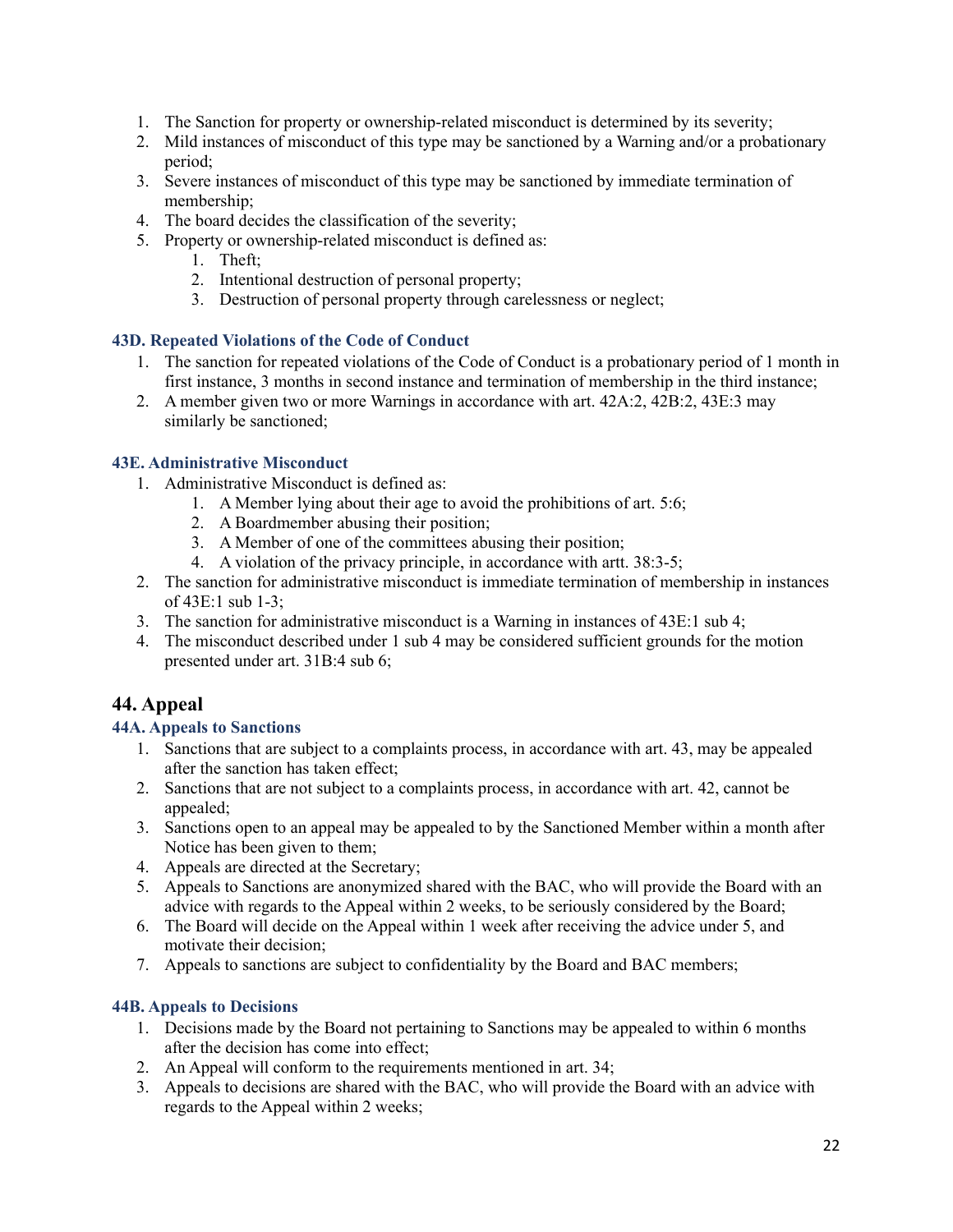- 1. The Sanction for property or ownership-related misconduct is determined by its severity;
- 2. Mild instances of misconduct of this type may be sanctioned by a Warning and/or a probationary period;
- 3. Severe instances of misconduct of this type may be sanctioned by immediate termination of membership;
- 4. The board decides the classification of the severity;
- 5. Property or ownership-related misconduct is defined as:
	- 1. Theft;
	- 2. Intentional destruction of personal property;
	- 3. Destruction of personal property through carelessness or neglect;

#### **43D. Repeated Violations of the Code of Conduct**

- 1. The sanction for repeated violations of the Code of Conduct is a probationary period of 1 month in first instance, 3 months in second instance and termination of membership in the third instance;
- 2. A member given two or more Warnings in accordance with art. 42A:2, 42B:2, 43E:3 may similarly be sanctioned;

#### **43E. Administrative Misconduct**

- 1. Administrative Misconduct is defined as:
	- 1. A Member lying about their age to avoid the prohibitions of art. 5:6;
	- 2. A Boardmember abusing their position;
	- 3. A Member of one of the committees abusing their position;
	- 4. A violation of the privacy principle, in accordance with artt. 38:3-5;
- 2. The sanction for administrative misconduct is immediate termination of membership in instances of 43E:1 sub 1-3;
- 3. The sanction for administrative misconduct is a Warning in instances of 43E:1 sub 4;
- 4. The misconduct described under 1 sub 4 may be considered sufficient grounds for the motion presented under art. 31B:4 sub 6;

## **44. Appeal**

#### **44A. Appeals to Sanctions**

- 1. Sanctions that are subject to a complaints process, in accordance with art. 43, may be appealed after the sanction has taken effect;
- 2. Sanctions that are not subject to a complaints process, in accordance with art. 42, cannot be appealed;
- 3. Sanctions open to an appeal may be appealed to by the Sanctioned Member within a month after Notice has been given to them;
- 4. Appeals are directed at the Secretary;
- 5. Appeals to Sanctions are anonymized shared with the BAC, who will provide the Board with an advice with regards to the Appeal within 2 weeks, to be seriously considered by the Board;
- 6. The Board will decide on the Appeal within 1 week after receiving the advice under 5, and motivate their decision;
- 7. Appeals to sanctions are subject to confidentiality by the Board and BAC members;

#### **44B. Appeals to Decisions**

- 1. Decisions made by the Board not pertaining to Sanctions may be appealed to within 6 months after the decision has come into effect;
- 2. An Appeal will conform to the requirements mentioned in art. 34;
- 3. Appeals to decisions are shared with the BAC, who will provide the Board with an advice with regards to the Appeal within 2 weeks;